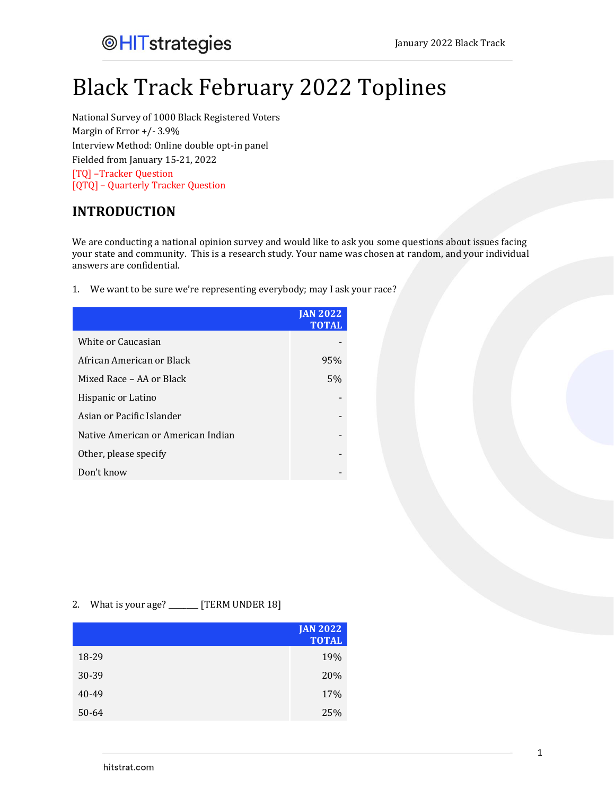# Black Track February 2022 Toplines

National Survey of 1000 Black Registered Voters Margin of Error +/- 3.9% Interview Method: Online double opt-in panel Fielded from January 15-21, 2022 [TQ] –Tracker Question [QTQ] – Quarterly Tracker Question

### **INTRODUCTION**

We are conducting a national opinion survey and would like to ask you some questions about issues facing your state and community. This is a research study. Your name was chosen at random, and your individual answers are confidential.

1. We want to be sure we're representing everybody; may I ask your race?

|                                    | <b>JAN 2022</b><br><b>TOTAL</b> |
|------------------------------------|---------------------------------|
| White or Caucasian                 |                                 |
| African American or Black          | 95%                             |
| Mixed Race - AA or Black           | 5%                              |
| Hispanic or Latino                 |                                 |
| Asian or Pacific Islander          |                                 |
| Native American or American Indian |                                 |
| Other, please specify              |                                 |
| Don't know                         |                                 |

2. What is your age? \_\_\_\_\_\_\_\_ [TERM UNDER 18]

|       | <b>JAN 2022</b><br><b>TOTAL</b> |
|-------|---------------------------------|
| 18-29 | 19%                             |
| 30-39 | 20%                             |
| 40-49 | 17%                             |
| 50-64 | 25%                             |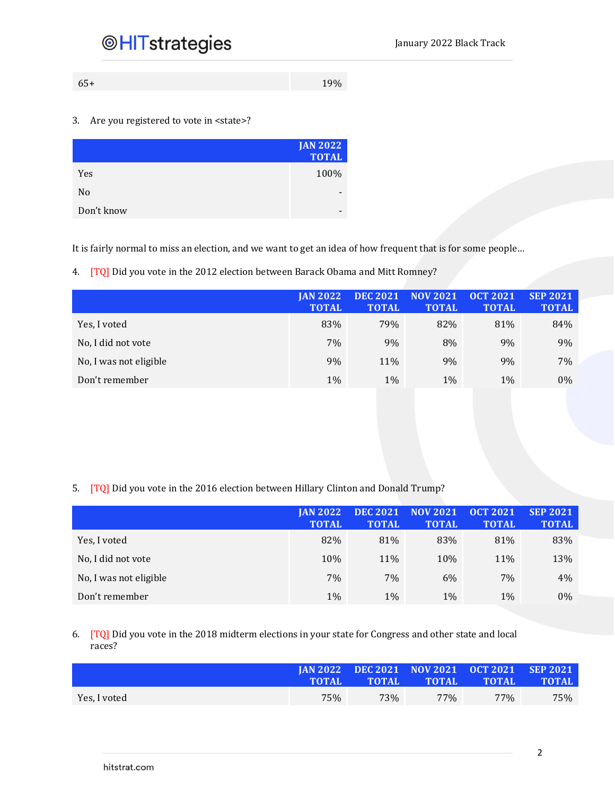$65+$  19%

### 3. Are you registered to vote in <state>?

|                | <b>JAN 2022</b><br><b>TOTAL</b> |
|----------------|---------------------------------|
| Yes            | 100%                            |
| N <sub>0</sub> | $\overline{\phantom{0}}$        |
| Don't know     | -                               |

It is fairly normal to miss an election, and we want to get an idea of how frequent that is for some people…

4. [TQ] Did you vote in the 2012 election between Barack Obama and Mitt Romney?

|                        | <b>IAN 2022</b><br><b>TOTAL</b> | <b>DEC 2021</b><br><b>TOTAL</b> | <b>NOV 2021</b><br><b>TOTAL</b> | <b>OCT 2021</b><br><b>TOTAL</b> | <b>SEP 2021</b><br><b>TOTAL</b> |
|------------------------|---------------------------------|---------------------------------|---------------------------------|---------------------------------|---------------------------------|
| Yes, I voted           | 83%                             | 79%                             | 82%                             | 81%                             | 84%                             |
| No, I did not vote     | 7%                              | 9%                              | 8%                              | 9%                              | 9%                              |
| No, I was not eligible | 9%                              | 11%                             | 9%                              | 9%                              | 7%                              |
| Don't remember         | 1%                              | 1%                              | 1%                              | 1%                              | 0%                              |

### 5. [TQ] Did you vote in the 2016 election between Hillary Clinton and Donald Trump?

|                        | <b>IAN 2022</b><br><b>TOTAL</b> | <b>DEC 2021</b><br><b>TOTAL</b> | <b>NOV 2021</b><br><b>TOTAL</b> | <b>OCT 2021</b><br><b>TOTAL</b> | <b>SEP 2021</b><br><b>TOTAL</b> |
|------------------------|---------------------------------|---------------------------------|---------------------------------|---------------------------------|---------------------------------|
| Yes, I voted           | 82%                             | 81%                             | 83%                             | 81%                             | 83%                             |
| No, I did not vote     | 10%                             | 11%                             | 10%                             | 11%                             | 13%                             |
| No, I was not eligible | 7%                              | 7%                              | 6%                              | 7%                              | $4\%$                           |
| Don't remember         | 1%                              | 1%                              | 1%                              | 1%                              | $0\%$                           |

### 6. [TQ] Did you vote in the 2018 midterm elections in your state for Congress and other state and local races?

|              | <b>TOTAL</b> | <b>TOTAL</b> | [AN 2022 DEC 2021 NOV 2021 OCT 2021 SEP 2021]<br><b>STOTAL</b> | <b>TOTAL</b> | <b>STOTAL</b> |
|--------------|--------------|--------------|----------------------------------------------------------------|--------------|---------------|
| Yes, I voted | 75%          | 73%          | 77%                                                            | $77\%$       | 75%           |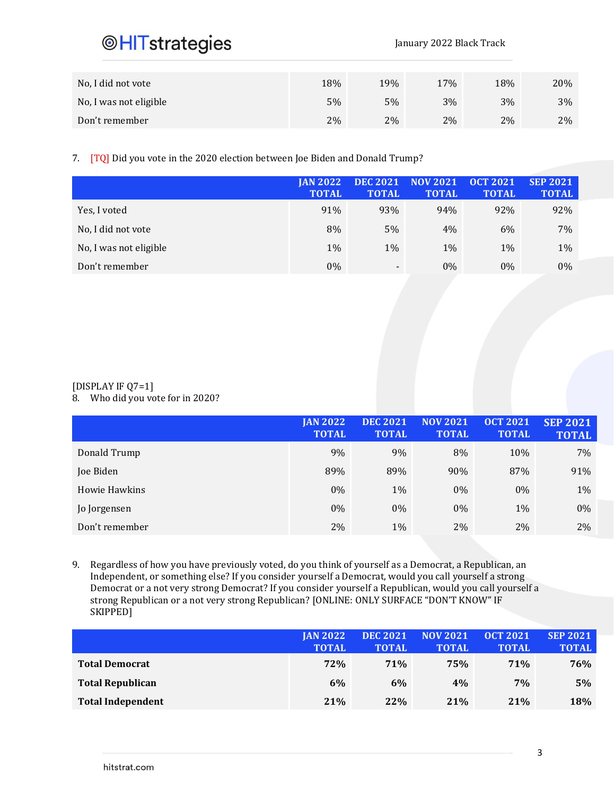## **@HITstrategies**

| No, I did not vote     | 18% | 19% | 17% | 18% | 20% |
|------------------------|-----|-----|-----|-----|-----|
| No, I was not eligible | 5%  | 5%  | 3%  | 3%  | 3%  |
| Don't remember         | 2%  | 2%  | 2%  | 2%  | 2%  |

7. [TQ] Did you vote in the 2020 election between Joe Biden and Donald Trump?

|                        | <b>IAN 2022</b><br><b>TOTAL</b> | <b>DEC 2021</b><br><b>TOTAL</b> | <b>NOV 2021</b><br><b>TOTAL</b> | <b>OCT 2021</b><br><b>TOTAL</b> | <b>SEP 2021</b><br><b>TOTAL</b> |
|------------------------|---------------------------------|---------------------------------|---------------------------------|---------------------------------|---------------------------------|
| Yes, I voted           | 91%                             | 93%                             | 94%                             | 92%                             | 92%                             |
| No, I did not vote     | 8%                              | 5%                              | 4%                              | 6%                              | 7%                              |
| No, I was not eligible | 1%                              | $1\%$                           | 1%                              | 1%                              | 1%                              |
| Don't remember         | $0\%$                           | $\overline{a}$                  | 0%                              | 0%                              | 0%                              |

### [DISPLAY IF Q7=1]

### 8. Who did you vote for in 2020?

|                | <b>JAN 2022</b><br><b>TOTAL</b> | <b>DEC 2021</b><br><b>TOTAL</b> | <b>NOV 2021</b><br><b>TOTAL</b> | <b>OCT 2021</b><br><b>TOTAL</b> | <b>SEP 2021</b><br><b>TOTAL</b> |
|----------------|---------------------------------|---------------------------------|---------------------------------|---------------------------------|---------------------------------|
| Donald Trump   | 9%                              | 9%                              | 8%                              | 10%                             | 7%                              |
| Joe Biden      | 89%                             | 89%                             | 90%                             | 87%                             | 91%                             |
| Howie Hawkins  | $0\%$                           | 1%                              | 0%                              | $0\%$                           | 1%                              |
| Jo Jorgensen   | $0\%$                           | $0\%$                           | $0\%$                           | 1%                              | $0\%$                           |
| Don't remember | 2%                              | 1%                              | 2%                              | 2%                              | 2%                              |

9. Regardless of how you have previously voted, do you think of yourself as a Democrat, a Republican, an Independent, or something else? If you consider yourself a Democrat, would you call yourself a strong Democrat or a not very strong Democrat? If you consider yourself a Republican, would you call yourself a strong Republican or a not very strong Republican? [ONLINE: ONLY SURFACE "DON'T KNOW" IF SKIPPED]

|                          | <b>IAN 2022</b> | <b>DEC 2021</b> | <b>NOV 2021</b> | <b>OCT 2021</b> | <b>SEP 2021</b> |
|--------------------------|-----------------|-----------------|-----------------|-----------------|-----------------|
|                          | <b>TOTAL</b>    | <b>TOTAL</b>    | <b>TOTAL</b>    | <b>TOTAL</b>    | <b>TOTAL</b>    |
| <b>Total Democrat</b>    | 72%             | <b>71%</b>      | 75%             | 71%             | 76%             |
| <b>Total Republican</b>  | 6%              | 6%              | 4%              | 7%              | $5\%$           |
| <b>Total Independent</b> | 21%             | 22%             | 21%             | 21%             | 18%             |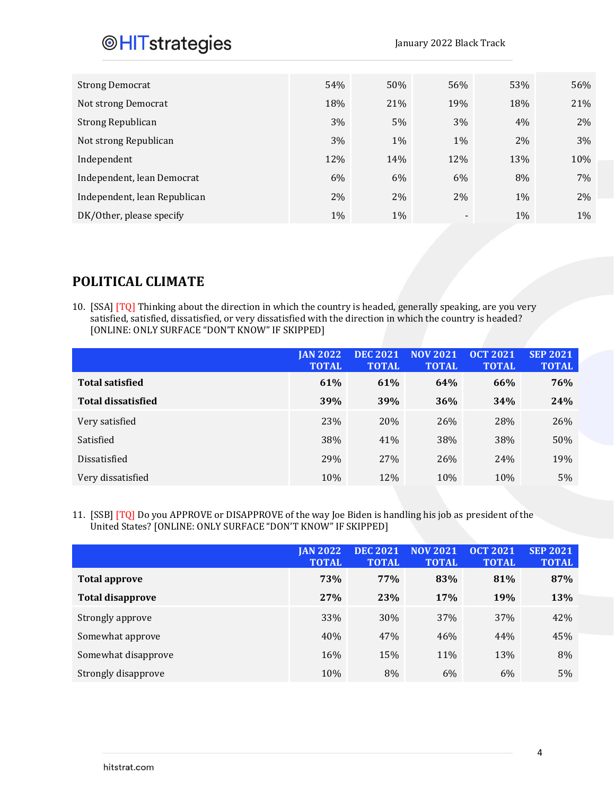January 2022 Black Track

| <b>Strong Democrat</b>       | 54%   | 50%   | 56%                      | 53%   | 56%   |
|------------------------------|-------|-------|--------------------------|-------|-------|
| Not strong Democrat          | 18%   | 21%   | 19%                      | 18%   | 21%   |
| Strong Republican            | 3%    | 5%    | 3%                       | 4%    | 2%    |
| Not strong Republican        | 3%    | $1\%$ | 1%                       | 2%    | 3%    |
| Independent                  | 12%   | 14%   | 12%                      | 13%   | 10%   |
| Independent, lean Democrat   | 6%    | 6%    | 6%                       | 8%    | 7%    |
| Independent, lean Republican | 2%    | 2%    | 2%                       | 1%    | 2%    |
| DK/Other, please specify     | $1\%$ | $1\%$ | $\overline{\phantom{a}}$ | $1\%$ | $1\%$ |

## **POLITICAL CLIMATE**

10. [SSA] [TQ] Thinking about the direction in which the country is headed, generally speaking, are you very satisfied, satisfied, dissatisfied, or very dissatisfied with the direction in which the country is headed? [ONLINE: ONLY SURFACE "DON'T KNOW" IF SKIPPED]

|                           | <b>JAN 2022</b><br><b>TOTAL</b> | <b>DEC 2021</b><br><b>TOTAL</b> | <b>NOV 2021</b><br><b>TOTAL</b> | <b>OCT 2021</b><br><b>TOTAL</b> | <b>SEP 2021</b><br><b>TOTAL</b> |
|---------------------------|---------------------------------|---------------------------------|---------------------------------|---------------------------------|---------------------------------|
| <b>Total satisfied</b>    | 61%                             | 61%                             | 64%                             | 66%                             | 76%                             |
| <b>Total dissatisfied</b> | 39%                             | 39%                             | 36%                             | 34%                             | 24%                             |
| Very satisfied            | 23%                             | 20%                             | 26%                             | 28%                             | 26%                             |
| Satisfied                 | 38%                             | 41\%                            | 38%                             | 38%                             | 50%                             |
| Dissatisfied              | 29%                             | 27%                             | 26%                             | 24%                             | 19%                             |
| Very dissatisfied         | 10%                             | 12%                             | 10%                             | 10%                             | 5%                              |

11. [SSB] [TQ] Do you APPROVE or DISAPPROVE of the way Joe Biden is handling his job as president of the United States? [ONLINE: ONLY SURFACE "DON'T KNOW" IF SKIPPED]

|                         | <b>JAN 2022</b><br><b>TOTAL</b> | <b>DEC 2021</b><br><b>TOTAL</b> | <b>NOV 2021</b><br><b>TOTAL</b> | <b>OCT 2021</b><br><b>TOTAL</b> | <b>SEP 2021</b><br><b>TOTAL</b> |
|-------------------------|---------------------------------|---------------------------------|---------------------------------|---------------------------------|---------------------------------|
| Total approve           | 73%                             | 77%                             | 83%                             | 81%                             | 87%                             |
| <b>Total disapprove</b> | 27%                             | 23%                             | 17%                             | 19%                             | 13%                             |
| Strongly approve        | 33%                             | 30%                             | 37%                             | 37%                             | 42%                             |
| Somewhat approve        | 40%                             | 47%                             | 46%                             | 44%                             | 45%                             |
| Somewhat disapprove     | 16%                             | 15%                             | 11%                             | 13%                             | 8%                              |
| Strongly disapprove     | 10%                             | 8%                              | $6\%$                           | 6%                              | 5%                              |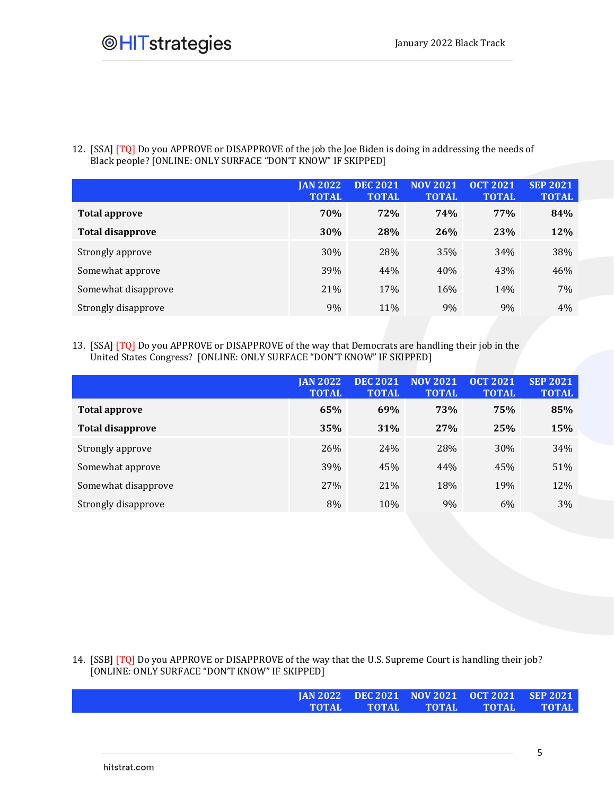12. [SSA] [TQ] Do you APPROVE or DISAPPROVE of the job the Joe Biden is doing in addressing the needs of Black people? [ONLINE: ONLY SURFACE "DON'T KNOW" IF SKIPPED]

|                         | <b>JAN 2022</b><br><b>TOTAL</b> | <b>DEC 2021</b><br><b>TOTAL</b> | <b>NOV 2021</b><br><b>TOTAL</b> | <b>OCT 2021</b><br><b>TOTAL</b> | <b>SEP 2021</b><br><b>TOTAL</b> |
|-------------------------|---------------------------------|---------------------------------|---------------------------------|---------------------------------|---------------------------------|
| <b>Total approve</b>    | 70%                             | 72%                             | 74%                             | 77%                             | 84%                             |
| <b>Total disapprove</b> | <b>30%</b>                      | 28%                             | 26%                             | 23%                             | <b>12%</b>                      |
| Strongly approve        | 30%                             | 28%                             | 35%                             | 34%                             | 38%                             |
| Somewhat approve        | 39%                             | 44%                             | 40%                             | 43%                             | 46%                             |
| Somewhat disapprove     | 21%                             | 17%                             | 16%                             | 14%                             | 7%                              |
| Strongly disapprove     | 9%                              | 11%                             | 9%                              | 9%                              | 4%                              |

13. [SSA] [TQ] Do you APPROVE or DISAPPROVE of the way that Democrats are handling their job in the United States Congress? [ONLINE: ONLY SURFACE "DON'T KNOW" IF SKIPPED]

|                         | <b>JAN 2022</b><br><b>TOTAL</b> | <b>DEC 2021</b><br><b>TOTAL</b> | <b>NOV 2021</b><br><b>TOTAL</b> | <b>OCT 2021</b><br><b>TOTAL</b> | <b>SEP 2021</b><br><b>TOTAL</b> |
|-------------------------|---------------------------------|---------------------------------|---------------------------------|---------------------------------|---------------------------------|
| Total approve           | 65%                             | 69%                             | 73%                             | 75%                             | 85%                             |
| <b>Total disapprove</b> | 35%                             | 31%                             | <b>27%</b>                      | 25%                             | <b>15%</b>                      |
| Strongly approve        | 26%                             | 24%                             | 28%                             | 30%                             | 34%                             |
| Somewhat approve        | 39%                             | 45%                             | 44%                             | 45%                             | 51%                             |
| Somewhat disapprove     | 27%                             | 21%                             | 18%                             | 19%                             | 12%                             |
| Strongly disapprove     | 8%                              | 10%                             | 9%                              | 6%                              | 3%                              |

14. [SSB] [TQ] Do you APPROVE or DISAPPROVE of the way that the U.S. Supreme Court is handling their job? [ONLINE: ONLY SURFACE "DON'T KNOW" IF SKIPPED]

| <b>JAN 2022</b> |        | DEC 2021 NOV 2021 | 7 OCT 2021. | <b>SEP 2021</b> |
|-----------------|--------|-------------------|-------------|-----------------|
| тотат.          | тотат. | чотак             | тотат.      | <b>TOTAL</b>    |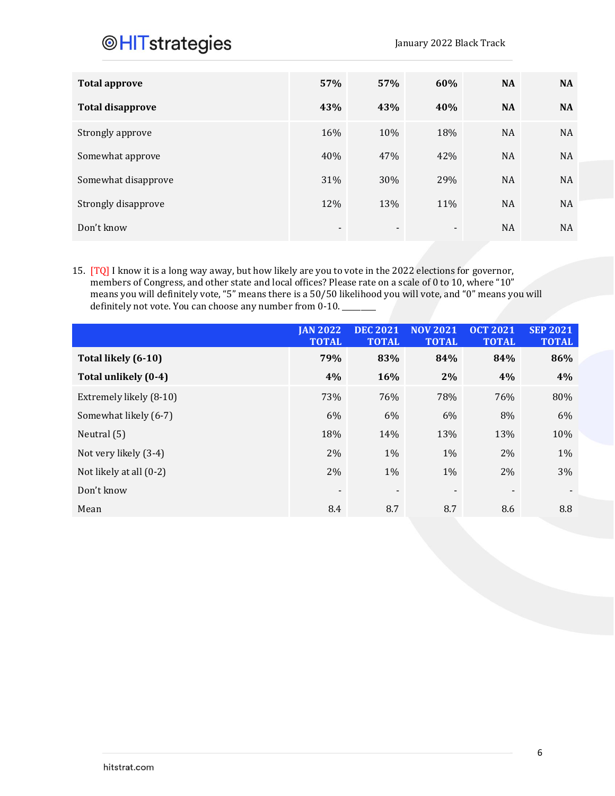## **@HITstrategies**

| <b>Total approve</b>    | 57%                      | 57%                      | 60%                      | <b>NA</b> | <b>NA</b> |
|-------------------------|--------------------------|--------------------------|--------------------------|-----------|-----------|
| <b>Total disapprove</b> | 43%                      | 43%                      | 40%                      | <b>NA</b> | <b>NA</b> |
| Strongly approve        | 16%                      | 10%                      | 18%                      | <b>NA</b> | NA        |
| Somewhat approve        | 40%                      | 47%                      | 42%                      | <b>NA</b> | NA        |
| Somewhat disapprove     | 31%                      | <b>30%</b>               | 29%                      | <b>NA</b> | NA        |
| Strongly disapprove     | 12%                      | 13%                      | 11%                      | <b>NA</b> | NA        |
| Don't know              | $\overline{\phantom{a}}$ | $\overline{\phantom{a}}$ | $\overline{\phantom{a}}$ | <b>NA</b> | NA        |

15. [TQ] I know it is a long way away, but how likely are you to vote in the 2022 elections for governor, members of Congress, and other state and local offices? Please rate on a scale of 0 to 10, where "10" means you will definitely vote, "5" means there is a 50/50 likelihood you will vote, and "0" means you will definitely not vote. You can choose any number from 0-10.

|                         | <b>JAN 2022</b><br><b>TOTAL</b> | <b>DEC 2021</b><br><b>TOTAL</b> | <b>NOV 2021</b><br><b>TOTAL</b> | <b>OCT 2021</b><br><b>TOTAL</b> | <b>SEP 2021</b><br><b>TOTAL</b> |
|-------------------------|---------------------------------|---------------------------------|---------------------------------|---------------------------------|---------------------------------|
| Total likely (6-10)     | 79%                             | 83%                             | 84%                             | 84%                             | 86%                             |
| Total unlikely (0-4)    | 4%                              | <b>16%</b>                      | $2\%$                           | 4%                              | 4%                              |
| Extremely likely (8-10) | 73%                             | 76%                             | 78%                             | 76%                             | 80%                             |
| Somewhat likely (6-7)   | 6%                              | 6%                              | 6%                              | 8%                              | 6%                              |
| Neutral (5)             | 18%                             | 14%                             | 13%                             | 13%                             | 10%                             |
| Not very likely (3-4)   | 2%                              | 1%                              | 1%                              | 2%                              | 1%                              |
| Not likely at all (0-2) | 2%                              | $1\%$                           | 1%                              | $2\%$                           | 3%                              |
| Don't know              | $\overline{\phantom{a}}$        | $\blacksquare$                  | $\overline{\phantom{a}}$        | $\overline{\phantom{0}}$        |                                 |
| Mean                    | 8.4                             | 8.7                             | 8.7                             | 8.6                             | 8.8                             |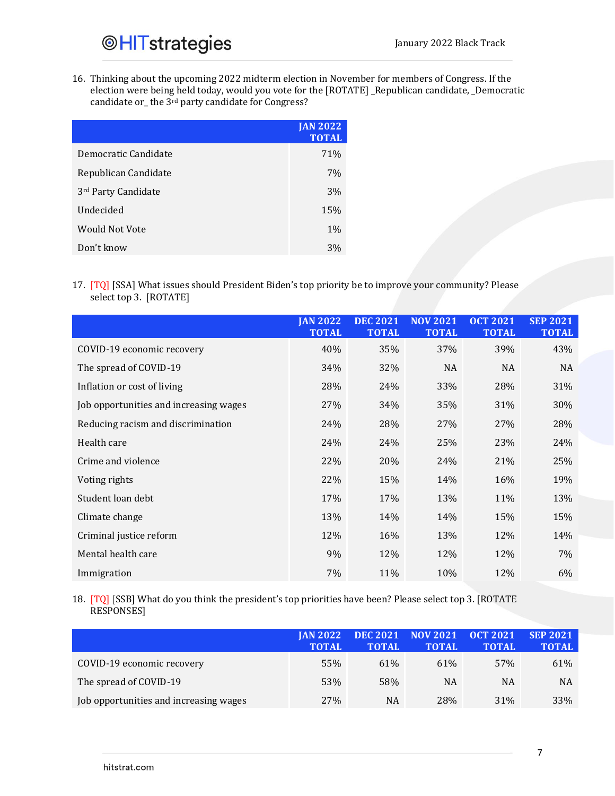16. Thinking about the upcoming 2022 midterm election in November for members of Congress. If the election were being held today, would you vote for the [ROTATE] \_Republican candidate, \_Democratic candidate or\_ the 3rd party candidate for Congress?

|                       | <b>JAN 2022</b><br><b>TOTAL</b> |
|-----------------------|---------------------------------|
| Democratic Candidate  | 71%                             |
| Republican Candidate  | 7%                              |
| 3rd Party Candidate   | 3%                              |
| Undecided             | 15%                             |
| <b>Would Not Vote</b> | $1\%$                           |
| Don't know            | 3%                              |

### 17. [TQ] [SSA] What issues should President Biden's top priority be to improve your community? Please select top 3. [ROTATE]

|                                        | <b>JAN 2022</b><br><b>TOTAL</b> | <b>DEC 2021</b><br><b>TOTAL</b> | <b>NOV 2021</b><br><b>TOTAL</b> | <b>OCT 2021</b><br><b>TOTAL</b> | <b>SEP 2021</b><br><b>TOTAL</b> |
|----------------------------------------|---------------------------------|---------------------------------|---------------------------------|---------------------------------|---------------------------------|
| COVID-19 economic recovery             | 40%                             | 35%                             | 37%                             | 39%                             | 43%                             |
| The spread of COVID-19                 | 34%                             | 32%                             | NA                              | <b>NA</b>                       | <b>NA</b>                       |
| Inflation or cost of living            | 28%                             | 24%                             | 33%                             | 28%                             | 31%                             |
| Job opportunities and increasing wages | 27%                             | 34%                             | 35%                             | 31%                             | 30%                             |
| Reducing racism and discrimination     | 24%                             | 28%                             | 27%                             | 27%                             | 28%                             |
| Health care                            | 24%                             | 24%                             | 25%                             | 23%                             | 24%                             |
| Crime and violence                     | 22%                             | 20%                             | 24%                             | 21%                             | 25%                             |
| Voting rights                          | 22%                             | 15%                             | 14%                             | 16%                             | 19%                             |
| Student loan debt                      | 17%                             | 17%                             | 13%                             | 11%                             | 13%                             |
| Climate change                         | 13%                             | 14%                             | 14%                             | 15%                             | 15%                             |
| Criminal justice reform                | 12%                             | 16%                             | 13%                             | 12%                             | 14%                             |
| Mental health care                     | 9%                              | 12%                             | 12%                             | 12%                             | 7%                              |
| Immigration                            | 7%                              | 11%                             | 10%                             | 12%                             | 6%                              |

18. [TQ] [SSB] What do you think the president's top priorities have been? Please select top 3. [ROTATE RESPONSES]

|                                        | <b>JAN 2022</b><br><b>TOTAL</b> | <b>DEC 2021</b><br><b>TOTAL</b> | <b>NOV 2021</b><br><b>TOTAL</b> | <b>OCT 2021</b><br><b>TOTAL</b> | <b>SEP 2021</b><br><b>TOTAL</b> |
|----------------------------------------|---------------------------------|---------------------------------|---------------------------------|---------------------------------|---------------------------------|
| COVID-19 economic recovery             | 55%                             | 61\%                            | 61\%                            | 57%                             | 61%                             |
| The spread of COVID-19                 | 53%                             | 58%                             | NA                              | <b>NA</b>                       | NA                              |
| Job opportunities and increasing wages | 27%                             | NA                              | 28%                             | 31\%                            | <b>33%</b>                      |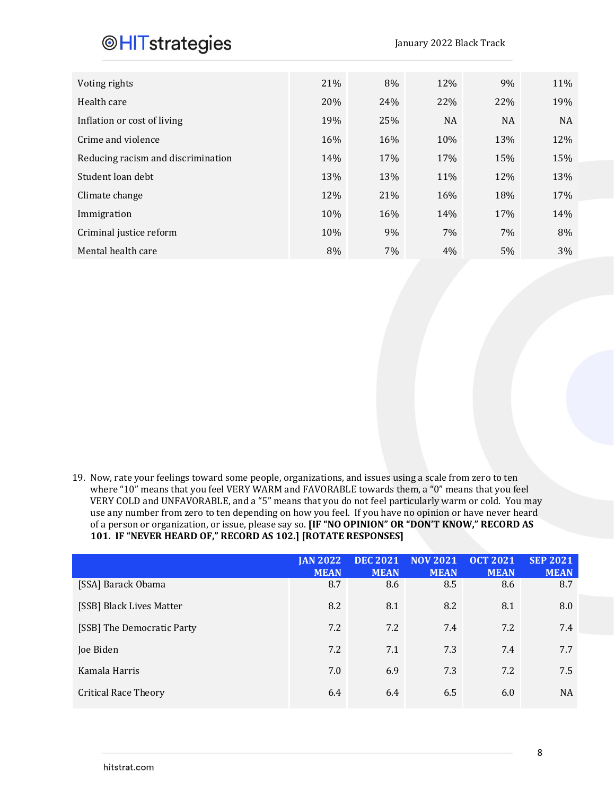## **OHITstrategies**

January 2022 Black Track

| Voting rights                      | 21% | 8%  | 12%       | 9%  | 11% |
|------------------------------------|-----|-----|-----------|-----|-----|
| Health care                        | 20% | 24% | 22%       | 22% | 19% |
| Inflation or cost of living        | 19% | 25% | <b>NA</b> | NA  | NA. |
| Crime and violence                 | 16% | 16% | 10%       | 13% | 12% |
| Reducing racism and discrimination | 14% | 17% | 17%       | 15% | 15% |
| Student loan debt                  | 13% | 13% | 11%       | 12% | 13% |
| Climate change                     | 12% | 21% | 16%       | 18% | 17% |
| Immigration                        | 10% | 16% | 14%       | 17% | 14% |
| Criminal justice reform            | 10% | 9%  | $7\%$     | 7%  | 8%  |
| Mental health care                 | 8%  | 7%  | 4%        | 5%  | 3%  |

19. Now, rate your feelings toward some people, organizations, and issues using a scale from zero to ten where "10" means that you feel VERY WARM and FAVORABLE towards them, a "0" means that you feel VERY COLD and UNFAVORABLE, and a "5" means that you do not feel particularly warm or cold. You may use any number from zero to ten depending on how you feel. If you have no opinion or have never heard of a person or organization, or issue, please say so. **[IF "NO OPINION" OR "DON'T KNOW," RECORD AS 101. IF "NEVER HEARD OF," RECORD AS 102.] [ROTATE RESPONSES]**

|                             | <b>JAN 2022</b><br><b>MEAN</b> | <b>DEC 2021</b><br><b>MEAN</b> | <b>NOV 2021</b><br><b>MEAN</b> | <b>OCT 2021</b><br><b>MEAN</b> | <b>SEP 2021</b><br><b>MEAN</b> |
|-----------------------------|--------------------------------|--------------------------------|--------------------------------|--------------------------------|--------------------------------|
| [SSA] Barack Obama          | 8.7                            | 8.6                            | 8.5                            | 8.6                            | 8.7                            |
| [SSB] Black Lives Matter    | 8.2                            | 8.1                            | 8.2                            | 8.1                            | 8.0                            |
| [SSB] The Democratic Party  | 7.2                            | 7.2                            | 7.4                            | 7.2                            | 7.4                            |
| Joe Biden                   | 7.2                            | 7.1                            | 7.3                            | 7.4                            | 7.7                            |
| Kamala Harris               | 7.0                            | 6.9                            | 7.3                            | 7.2                            | 7.5                            |
| <b>Critical Race Theory</b> | 6.4                            | 6.4                            | 6.5                            | 6.0                            | <b>NA</b>                      |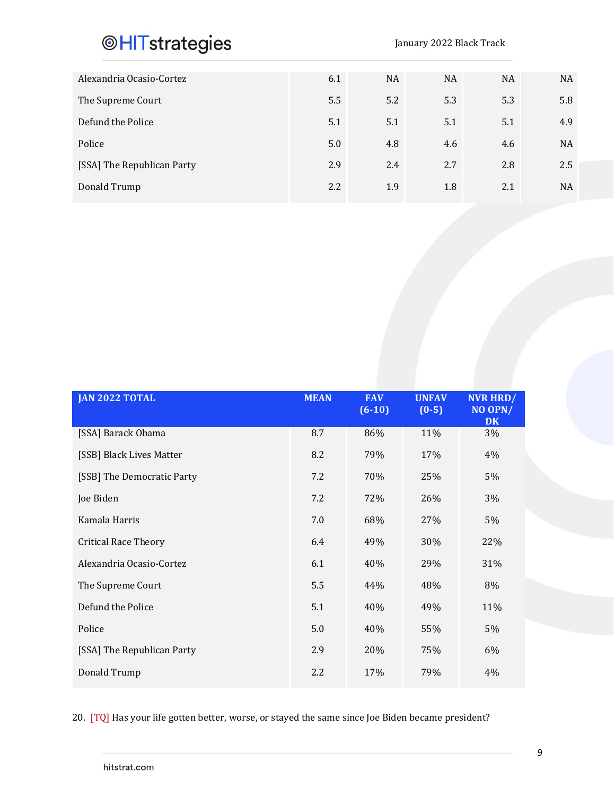January 2022 Black Track

| Alexandria Ocasio-Cortez   | 6.1 | <b>NA</b> | <b>NA</b> | <b>NA</b> | <b>NA</b> |
|----------------------------|-----|-----------|-----------|-----------|-----------|
| The Supreme Court          | 5.5 | 5.2       | 5.3       | 5.3       | 5.8       |
| Defund the Police          | 5.1 | 5.1       | 5.1       | 5.1       | 4.9       |
| Police                     | 5.0 | 4.8       | 4.6       | 4.6       | <b>NA</b> |
| [SSA] The Republican Party | 2.9 | 2.4       | 2.7       | 2.8       | 2.5       |
| Donald Trump               | 2.2 | 1.9       | 1.8       | 2.1       | <b>NA</b> |

| <b>JAN 2022 TOTAL</b>       | <b>MEAN</b> | <b>FAV</b><br>$(6-10)$ | <b>UNFAV</b><br>$(0-5)$ | <b>NVR HRD/</b><br>NO OPN/<br><b>DK</b> |
|-----------------------------|-------------|------------------------|-------------------------|-----------------------------------------|
| [SSA] Barack Obama          | 8.7         | 86%                    | 11%                     | 3%                                      |
| [SSB] Black Lives Matter    | 8.2         | 79%                    | 17%                     | 4%                                      |
| [SSB] The Democratic Party  | 7.2         | 70%                    | 25%                     | 5%                                      |
| Joe Biden                   | 7.2         | 72%                    | 26%                     | 3%                                      |
| Kamala Harris               | 7.0         | 68%                    | 27%                     | 5%                                      |
| <b>Critical Race Theory</b> | 6.4         | 49%                    | 30%                     | 22%                                     |
| Alexandria Ocasio-Cortez    | 6.1         | 40%                    | 29%                     | 31%                                     |
| The Supreme Court           | 5.5         | 44%                    | 48%                     | 8%                                      |
| Defund the Police           | 5.1         | 40%                    | 49%                     | 11%                                     |
| Police                      | 5.0         | 40%                    | 55%                     | 5%                                      |
| [SSA] The Republican Party  | 2.9         | 20%                    | 75%                     | 6%                                      |
| Donald Trump                | 2.2         | 17%                    | 79%                     | 4%                                      |

20. [TQ] Has your life gotten better, worse, or stayed the same since Joe Biden became president?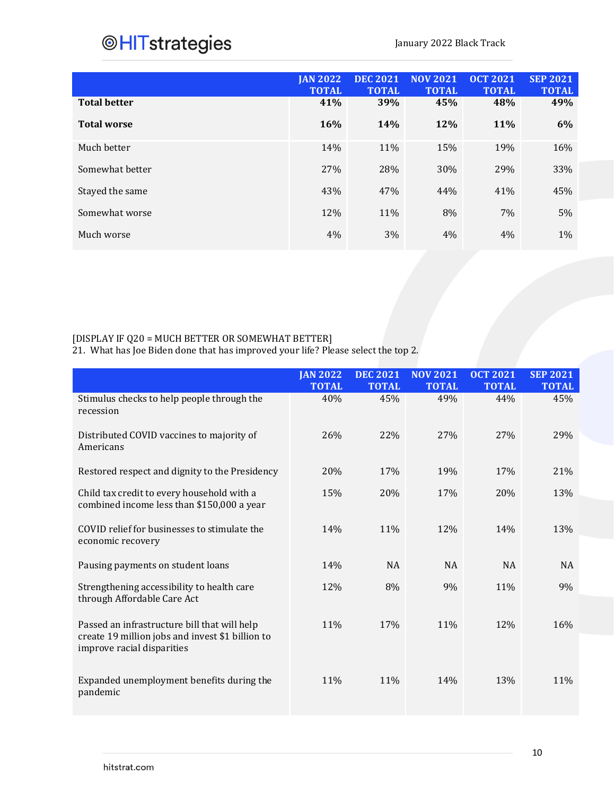## **@HITstrategies**

|                     | <b>JAN 2022</b><br><b>TOTAL</b> | <b>DEC 2021</b><br><b>TOTAL</b> | <b>NOV 2021</b><br><b>TOTAL</b> | <b>OCT 2021</b><br><b>TOTAL</b> | <b>SEP 2021</b><br><b>TOTAL</b> |
|---------------------|---------------------------------|---------------------------------|---------------------------------|---------------------------------|---------------------------------|
| <b>Total better</b> | 41%                             | <b>39%</b>                      | 45%                             | 48%                             | 49%                             |
| <b>Total worse</b>  | 16%                             | 14%                             | 12%                             | 11%                             | 6%                              |
| Much better         | 14%                             | 11%                             | 15%                             | 19%                             | 16%                             |
| Somewhat better     | 27%                             | 28%                             | 30%                             | 29%                             | 33%                             |
| Stayed the same     | 43%                             | 47%                             | 44%                             | 41%                             | 45%                             |
| Somewhat worse      | 12%                             | 11%                             | 8%                              | 7%                              | 5%                              |
| Much worse          | 4%                              | 3%                              | 4%                              | 4%                              | 1%                              |

#### [DISPLAY IF Q20 = MUCH BETTER OR SOMEWHAT BETTER]

21. What has Joe Biden done that has improved your life? Please select the top 2.

|                                                                                                                                | <b>JAN 2022</b><br><b>TOTAL</b> | <b>DEC 2021</b><br><b>TOTAL</b> | <b>NOV 2021</b><br><b>TOTAL</b> | <b>OCT 2021</b><br><b>TOTAL</b> | <b>SEP 2021</b><br><b>TOTAL</b> |
|--------------------------------------------------------------------------------------------------------------------------------|---------------------------------|---------------------------------|---------------------------------|---------------------------------|---------------------------------|
| Stimulus checks to help people through the<br>recession                                                                        | 40%                             | 45%                             | 49%                             | 44%                             | 45%                             |
| Distributed COVID vaccines to majority of<br>Americans                                                                         | 26%                             | 22%                             | 27%                             | 27%                             | 29%                             |
| Restored respect and dignity to the Presidency                                                                                 | 20%                             | 17%                             | 19%                             | 17%                             | 21%                             |
| Child tax credit to every household with a<br>combined income less than \$150,000 a year                                       | 15%                             | 20%                             | 17%                             | 20%                             | 13%                             |
| COVID relief for businesses to stimulate the<br>economic recovery                                                              | 14%                             | 11%                             | 12%                             | 14%                             | 13%                             |
| Pausing payments on student loans                                                                                              | 14%                             | <b>NA</b>                       | <b>NA</b>                       | <b>NA</b>                       | <b>NA</b>                       |
| Strengthening accessibility to health care<br>through Affordable Care Act                                                      | 12%                             | 8%                              | 9%                              | 11%                             | 9%                              |
| Passed an infrastructure bill that will help<br>create 19 million jobs and invest \$1 billion to<br>improve racial disparities | 11%                             | 17%                             | 11%                             | 12%                             | 16%                             |
| Expanded unemployment benefits during the<br>pandemic                                                                          | 11%                             | 11%                             | 14%                             | 13%                             | 11%                             |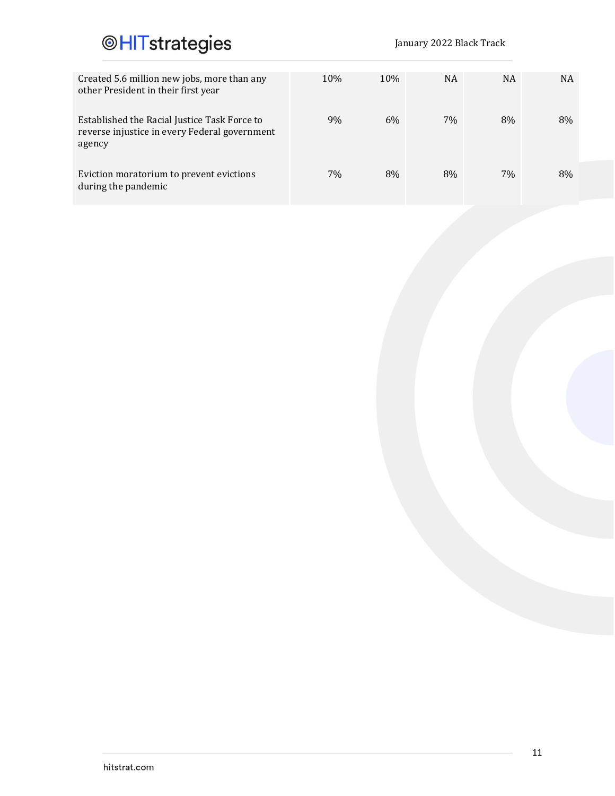January 2022 Black Track

| Created 5.6 million new jobs, more than any<br>other President in their first year                      | 10% | 10% | <b>NA</b> | NA | NA |
|---------------------------------------------------------------------------------------------------------|-----|-----|-----------|----|----|
| Established the Racial Justice Task Force to<br>reverse injustice in every Federal government<br>agency | 9%  | 6%  | 7%        | 8% | 8% |
| Eviction moratorium to prevent evictions<br>during the pandemic                                         | 7%  | 8%  | 8%        | 7% | 8% |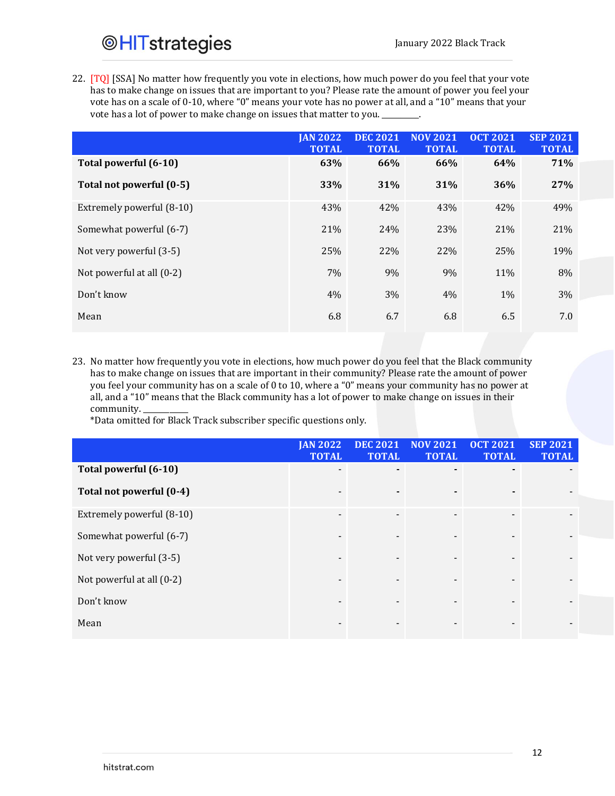## **OHITstrategies**

22. [TQ] [SSA] No matter how frequently you vote in elections, how much power do you feel that your vote has to make change on issues that are important to you? Please rate the amount of power you feel your vote has on a scale of 0-10, where "0" means your vote has no power at all, and a "10" means that your vote has a lot of power to make change on issues that matter to you.

|                           | <b>JAN 2022</b><br><b>TOTAL</b> | <b>DEC 2021</b><br><b>TOTAL</b> | <b>NOV 2021</b><br><b>TOTAL</b> | <b>OCT 2021</b><br><b>TOTAL</b> | <b>SEP 2021</b><br><b>TOTAL</b> |
|---------------------------|---------------------------------|---------------------------------|---------------------------------|---------------------------------|---------------------------------|
| Total powerful (6-10)     | 63%                             | 66%                             | 66%                             | 64%                             | 71%                             |
| Total not powerful (0-5)  | 33%                             | 31%                             | 31%                             | 36%                             | 27%                             |
| Extremely powerful (8-10) | 43%                             | 42%                             | 43%                             | 42%                             | 49%                             |
| Somewhat powerful (6-7)   | 21%                             | 24%                             | 23%                             | 21%                             | 21%                             |
| Not very powerful (3-5)   | 25%                             | 22%                             | 22%                             | 25%                             | 19%                             |
| Not powerful at all (0-2) | $7\%$                           | 9%                              | 9%                              | 11%                             | 8%                              |
| Don't know                | 4%                              | 3%                              | 4%                              | $1\%$                           | 3%                              |
| Mean                      | 6.8                             | 6.7                             | 6.8                             | 6.5                             | 7.0                             |

23. No matter how frequently you vote in elections, how much power do you feel that the Black community has to make change on issues that are important in their community? Please rate the amount of power you feel your community has on a scale of 0 to 10, where a "0" means your community has no power at all, and a "10" means that the Black community has a lot of power to make change on issues in their community.

\*Data omitted for Black Track subscriber specific questions only.

|                           | <b>JAN 2022</b><br><b>TOTAL</b> | <b>DEC 2021</b><br><b>TOTAL</b> | <b>NOV 2021</b><br><b>TOTAL</b> | <b>OCT 2021</b><br><b>TOTAL</b> | <b>SEP 2021</b><br><b>TOTAL</b> |
|---------------------------|---------------------------------|---------------------------------|---------------------------------|---------------------------------|---------------------------------|
| Total powerful (6-10)     |                                 |                                 |                                 |                                 |                                 |
| Total not powerful (0-4)  |                                 |                                 |                                 |                                 |                                 |
| Extremely powerful (8-10) | -                               | -                               | $\overline{\phantom{0}}$        |                                 |                                 |
| Somewhat powerful (6-7)   |                                 |                                 |                                 |                                 |                                 |
| Not very powerful (3-5)   |                                 |                                 |                                 |                                 |                                 |
| Not powerful at all (0-2) |                                 |                                 |                                 |                                 |                                 |
| Don't know                |                                 |                                 |                                 |                                 |                                 |
| Mean                      |                                 |                                 |                                 |                                 |                                 |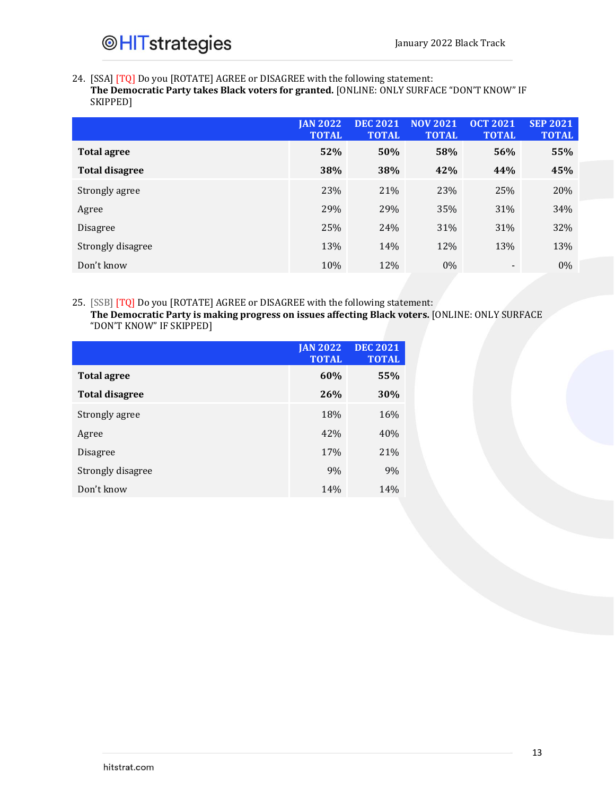### 24. [SSA] [TQ] Do you [ROTATE] AGREE or DISAGREE with the following statement:

**The Democratic Party takes Black voters for granted.** [ONLINE: ONLY SURFACE "DON'T KNOW" IF SKIPPED]

|                       | <b>JAN 2022</b><br><b>TOTAL</b> | <b>DEC 2021</b><br><b>TOTAL</b> | <b>NOV 2021</b><br><b>TOTAL</b> | <b>OCT 2021</b><br><b>TOTAL</b> | <b>SEP 2021</b><br><b>TOTAL</b> |
|-----------------------|---------------------------------|---------------------------------|---------------------------------|---------------------------------|---------------------------------|
| <b>Total agree</b>    | 52%                             | 50%                             | 58%                             | 56%                             | 55%                             |
| <b>Total disagree</b> | 38%                             | 38%                             | 42%                             | 44%                             | 45%                             |
| Strongly agree        | 23%                             | 21%                             | 23%                             | 25%                             | 20%                             |
| Agree                 | 29%                             | 29%                             | 35%                             | 31%                             | 34%                             |
| Disagree              | 25%                             | 24%                             | 31%                             | 31%                             | 32%                             |
| Strongly disagree     | 13%                             | 14%                             | 12%                             | 13%                             | 13%                             |
| Don't know            | 10%                             | 12%                             | $0\%$                           | $\blacksquare$                  | $0\%$                           |

#### 25. [SSB] [TQ] Do you [ROTATE] AGREE or DISAGREE with the following statement:

**The Democratic Party is making progress on issues affecting Black voters.** [ONLINE: ONLY SURFACE "DON'T KNOW" IF SKIPPED]

|                       | <b>JAN 2022</b><br><b>TOTAL</b> | <b>DEC 2021</b><br><b>TOTAL</b> |
|-----------------------|---------------------------------|---------------------------------|
| <b>Total agree</b>    | 60%                             | 55%                             |
| <b>Total disagree</b> | 26%                             | 30%                             |
| Strongly agree        | 18%                             | 16%                             |
| Agree                 | 42%                             | 40%                             |
| <b>Disagree</b>       | 17%                             | 21%                             |
| Strongly disagree     | 9%                              | 9%                              |
| Don't know            | 14%                             | 14%                             |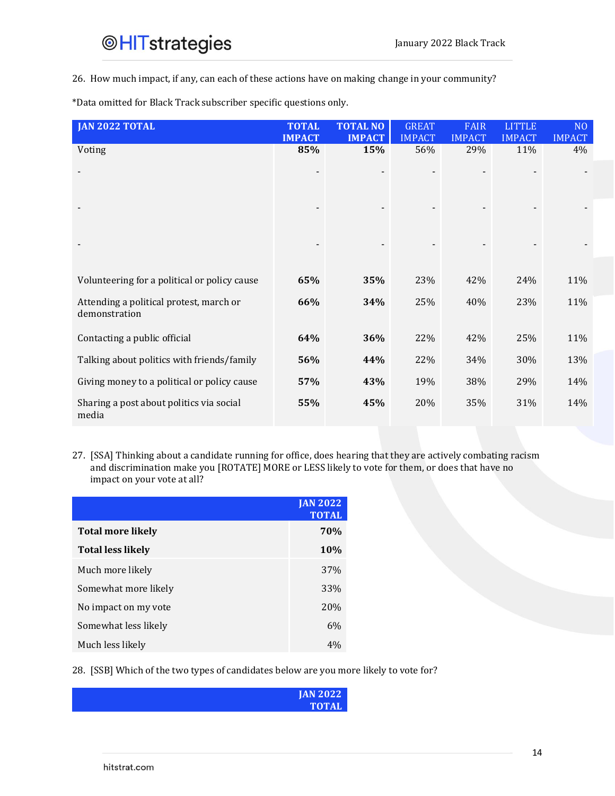26. How much impact, if any, can each of these actions have on making change in your community?

\*Data omitted for Black Track subscriber specific questions only.

| <b>JAN 2022 TOTAL</b>                                    | <b>TOTAL</b>  | <b>TOTAL NO</b> | <b>GREAT</b>  | <b>FAIR</b>   | <b>LITTLE</b> | NO <sub>1</sub> |
|----------------------------------------------------------|---------------|-----------------|---------------|---------------|---------------|-----------------|
|                                                          | <b>IMPACT</b> | <b>IMPACT</b>   | <b>IMPACT</b> | <b>IMPACT</b> | <b>IMPACT</b> | <b>IMPACT</b>   |
| Voting                                                   | 85%           | 15%             | 56%           | 29%           | 11%           | 4%              |
|                                                          |               |                 |               |               |               |                 |
|                                                          |               |                 |               |               |               |                 |
|                                                          |               |                 |               |               |               |                 |
| Volunteering for a political or policy cause             | 65%           | 35%             | 23%           | 42%           | 24%           | 11%             |
| Attending a political protest, march or<br>demonstration | 66%           | 34%             | 25%           | 40%           | 23%           | 11%             |
| Contacting a public official                             | 64%           | 36%             | 22%           | 42%           | 25%           | 11%             |
| Talking about politics with friends/family               | 56%           | 44%             | 22%           | 34%           | 30%           | 13%             |
| Giving money to a political or policy cause              | 57%           | 43%             | 19%           | 38%           | 29%           | 14%             |
| Sharing a post about politics via social<br>media        | 55%           | 45%             | 20%           | 35%           | 31%           | 14%             |

27. [SSA] Thinking about a candidate running for office, does hearing that they are actively combating racism and discrimination make you [ROTATE] MORE or LESS likely to vote for them, or does that have no impact on your vote at all?

|                          | <b>JAN 2022</b><br><b>TOTAL</b> |
|--------------------------|---------------------------------|
| Total more likely        | 70%                             |
| <b>Total less likely</b> | 10%                             |
| Much more likely         | 37%                             |
| Somewhat more likely     | 33%                             |
| No impact on my vote     | 20%                             |
| Somewhat less likely     | 6%                              |
| Much less likely         | 4%                              |

28. [SSB] Which of the two types of candidates below are you more likely to vote for?

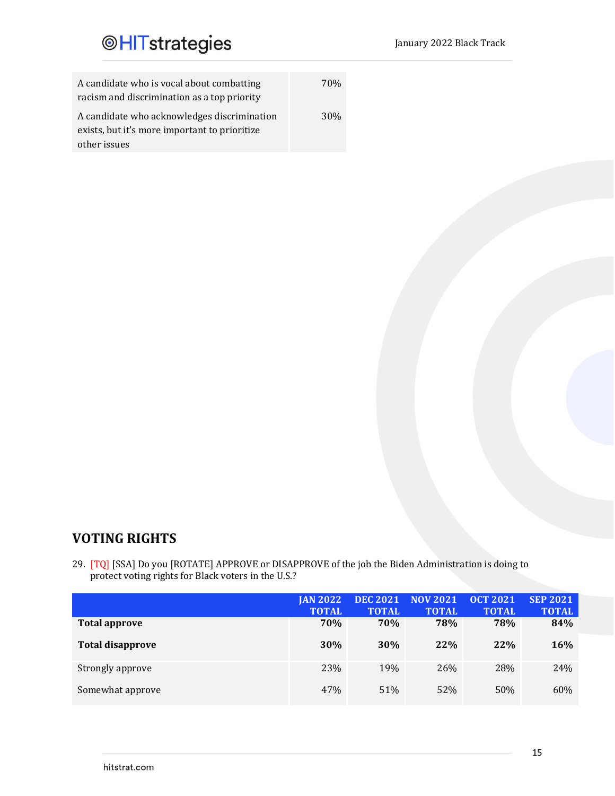| A candidate who is vocal about combatting<br>racism and discrimination as a top priority | 70%        |
|------------------------------------------------------------------------------------------|------------|
| A candidate who acknowledges discrimination                                              | <b>30%</b> |
| exists, but it's more important to prioritize                                            |            |
| other issues                                                                             |            |

## **VOTING RIGHTS**

29. [TQ] [SSA] Do you [ROTATE] APPROVE or DISAPPROVE of the job the Biden Administration is doing to protect voting rights for Black voters in the U.S.?

|                         | <b>JAN 2022</b> | <b>DEC 2021</b> | <b>NOV 2021</b> | <b>OCT 2021</b> | <b>SEP 2021</b> |
|-------------------------|-----------------|-----------------|-----------------|-----------------|-----------------|
|                         | <b>TOTAL</b>    | <b>TOTAL</b>    | <b>TOTAL</b>    | <b>TOTAL</b>    | <b>TOTAL</b>    |
| <b>Total approve</b>    | 70%             | 70%             | 78%             | 78%             | 84%             |
| <b>Total disapprove</b> | <b>30%</b>      | <b>30%</b>      | <b>22%</b>      | 22%             | 16%             |
| Strongly approve        | 23%             | 19%             | 26%             | 28%             | 24%             |
| Somewhat approve        | 47%             | 51%             | 52%             | 50%             | 60%             |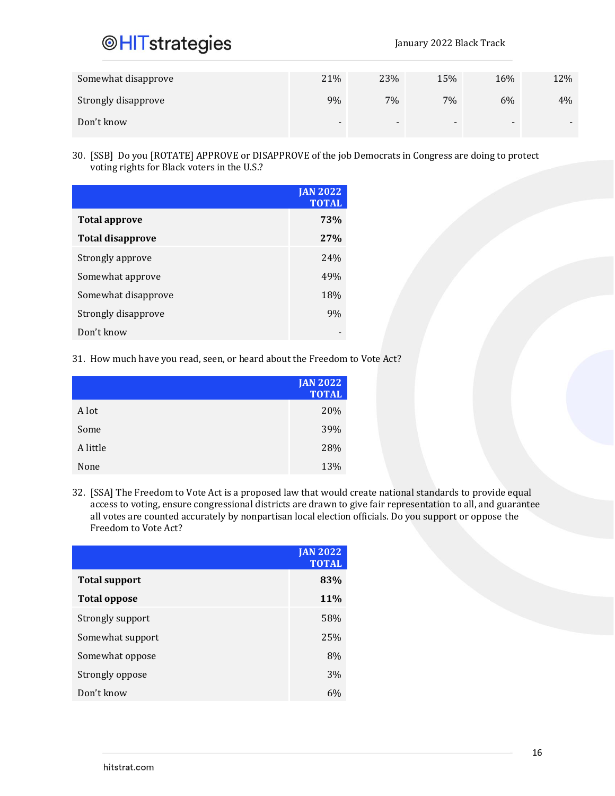## **@HITstrategies**

| Somewhat disapprove | 21%                      | 23%                      | 15%                      | 16%                      | 12% |
|---------------------|--------------------------|--------------------------|--------------------------|--------------------------|-----|
| Strongly disapprove | 9%                       | 7%                       | 7%                       | 6%                       | 4%  |
| Don't know          | $\overline{\phantom{a}}$ | $\overline{\phantom{0}}$ | $\overline{\phantom{a}}$ | $\overline{\phantom{0}}$ | -   |

30. [SSB] Do you [ROTATE] APPROVE or DISAPPROVE of the job Democrats in Congress are doing to protect voting rights for Black voters in the U.S.?

|                         | <b>JAN 2022</b><br><b>TOTAL</b> |
|-------------------------|---------------------------------|
| <b>Total approve</b>    | 73%                             |
| <b>Total disapprove</b> | 27%                             |
| Strongly approve        | 24 <sub>%</sub>                 |
| Somewhat approve        | 49%                             |
| Somewhat disapprove     | 18%                             |
| Strongly disapprove     | 9%                              |
| Don't know              |                                 |

31. How much have you read, seen, or heard about the Freedom to Vote Act?

|          | <b>JAN 2022</b><br><b>TOTAL</b> |
|----------|---------------------------------|
| A lot    | 20%                             |
| Some     | 39%                             |
| A little | 28%                             |
| None     | 13%                             |

32. [SSA] The Freedom to Vote Act is a proposed law that would create national standards to provide equal access to voting, ensure congressional districts are drawn to give fair representation to all, and guarantee all votes are counted accurately by nonpartisan local election officials. Do you support or oppose the Freedom to Vote Act?

|                      | <b>JAN 2022</b><br><b>TOTAL</b> |
|----------------------|---------------------------------|
| <b>Total support</b> | 83%                             |
| <b>Total oppose</b>  | <b>11%</b>                      |
| Strongly support     | 58%                             |
| Somewhat support     | 25%                             |
| Somewhat oppose      | 8%                              |
| Strongly oppose      | 3%                              |
| Don't know           | 6%                              |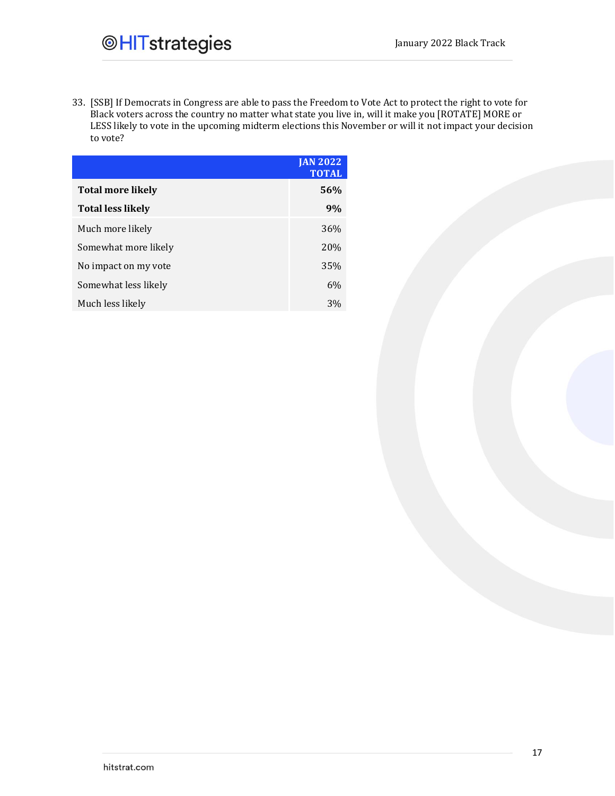33. [SSB] If Democrats in Congress are able to pass the Freedom to Vote Act to protect the right to vote for Black voters across the country no matter what state you live in, will it make you [ROTATE] MORE or LESS likely to vote in the upcoming midterm elections this November or will it not impact your decision to vote?

|                          | <b>JAN 2022</b><br><b>TOTAL</b> |
|--------------------------|---------------------------------|
| <b>Total more likely</b> | 56%                             |
| <b>Total less likely</b> | 9%                              |
| Much more likely         | 36%                             |
| Somewhat more likely     | 20%                             |
| No impact on my vote     | 35%                             |
| Somewhat less likely     | 6%                              |
| Much less likely         | 3%                              |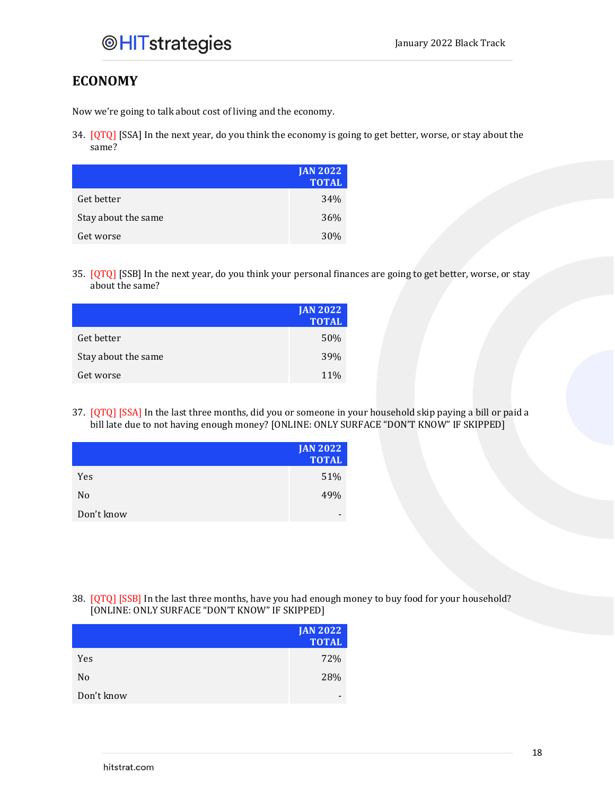### **ECONOMY**

Now we're going to talk about cost of living and the economy.

34. [QTQ] [SSA] In the next year, do you think the economy is going to get better, worse, or stay about the same?

|                     | <b>JAN 2022</b><br><b>TOTAL</b> |
|---------------------|---------------------------------|
| Get better          | 34%                             |
| Stay about the same | 36%                             |
| Get worse           | 30%                             |

35. [QTQ] [SSB] In the next year, do you think your personal finances are going to get better, worse, or stay about the same?

|                     | <b>JAN 2022</b><br><b>TOTAL</b> |
|---------------------|---------------------------------|
| Get better          | 50%                             |
| Stay about the same | 39%                             |
| Get worse           | 11%                             |

37. [QTQ] [SSA] In the last three months, did you or someone in your household skip paying a bill or paid a bill late due to not having enough money? [ONLINE: ONLY SURFACE "DON'T KNOW" IF SKIPPED]

|                | <b>JAN 2022</b><br><b>TOTAL</b> |
|----------------|---------------------------------|
| Yes            | 51%                             |
| N <sub>0</sub> | 49%                             |
| Don't know     |                                 |

38. [QTQ] [SSB] In the last three months, have you had enough money to buy food for your household? [ONLINE: ONLY SURFACE "DON'T KNOW" IF SKIPPED]

|                | <b>JAN 2022</b><br><b>TOTAL</b> |
|----------------|---------------------------------|
| Yes            | 72%                             |
| N <sub>0</sub> | 28%                             |
| Don't know     | -                               |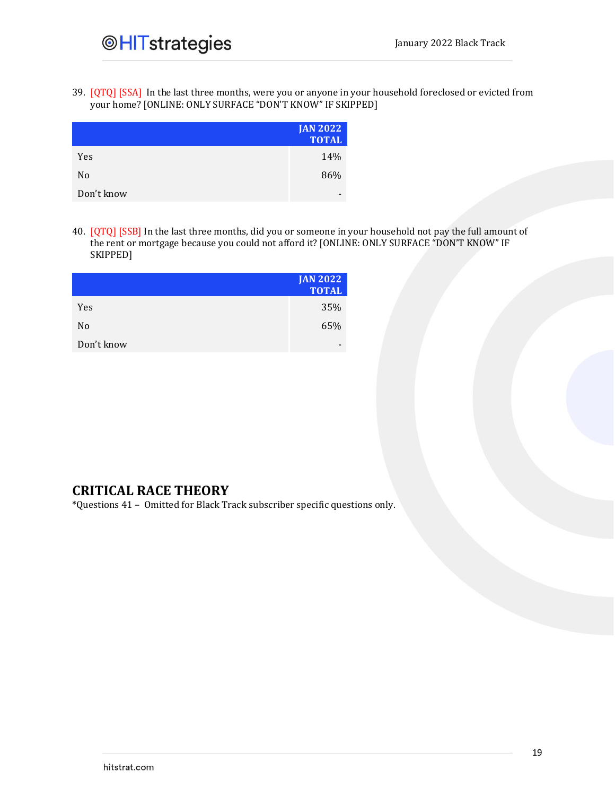39. [QTQ] [SSA] In the last three months, were you or anyone in your household foreclosed or evicted from your home? [ONLINE: ONLY SURFACE "DON'T KNOW" IF SKIPPED]

|                | <b>JAN 2022</b><br><b>TOTAL</b> |
|----------------|---------------------------------|
| Yes            | 14%                             |
| N <sub>0</sub> | 86%                             |
| Don't know     | -                               |

40. [QTQ] [SSB] In the last three months, did you or someone in your household not pay the full amount of the rent or mortgage because you could not afford it? [ONLINE: ONLY SURFACE "DON'T KNOW" IF SKIPPED]

|                | <b>JAN 2022</b><br><b>TOTAL</b> |
|----------------|---------------------------------|
| Yes            | 35%                             |
| N <sub>0</sub> | 65%                             |
| Don't know     |                                 |

### **CRITICAL RACE THEORY**

\*Questions 41 – Omitted for Black Track subscriber specific questions only.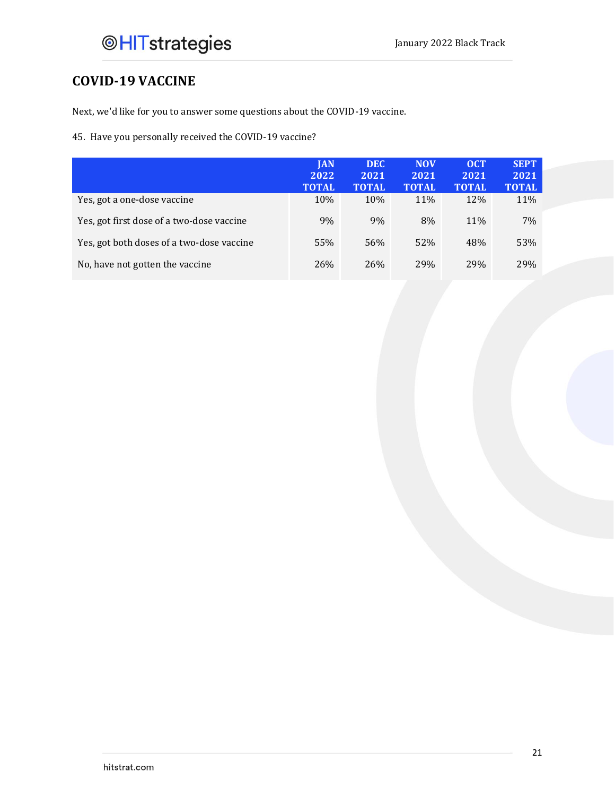## **COVID-19 VACCINE**

Next, we'd like for you to answer some questions about the COVID-19 vaccine.

45. Have you personally received the COVID-19 vaccine?

|                                           | <b>JAN</b><br>2022<br><b>TOTAL</b> | <b>DEC</b><br>2021<br><b>TOTAL</b> | <b>NOV</b><br>2021<br><b>TOTAL</b> | <b>OCT</b><br>2021<br><b>TOTAL</b> | <b>SEPT</b><br>2021<br><b>TOTAL</b> |
|-------------------------------------------|------------------------------------|------------------------------------|------------------------------------|------------------------------------|-------------------------------------|
| Yes, got a one-dose vaccine               | 10%                                | 10%                                | 11%                                | 12%                                | 11%                                 |
| Yes, got first dose of a two-dose vaccine | 9%                                 | 9%                                 | 8%                                 | 11%                                | 7%                                  |
| Yes, got both doses of a two-dose vaccine | 55%                                | 56%                                | 52%                                | 48%                                | 53%                                 |
| No, have not gotten the vaccine           | 26%                                | 26%                                | 29%                                | 29%                                | 29%                                 |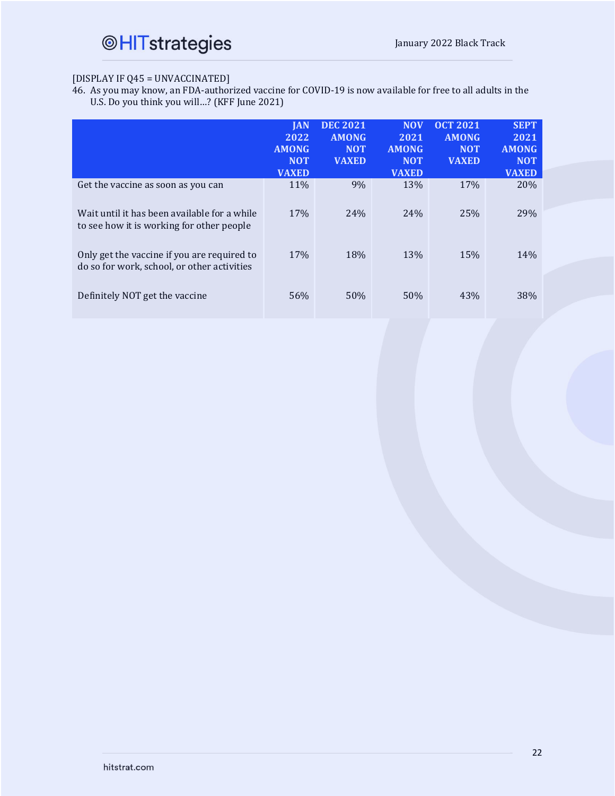#### [DISPLAY IF Q45 = UNVACCINATED]

46. As you may know, an FDA-authorized vaccine for COVID-19 is now available for free to all adults in the U.S. Do you think you will…? (KFF June 2021)

|                                                                                            | <b>IAN</b><br>2022                         | <b>DEC 2021</b><br><b>AMONG</b> | <b>NOV</b><br>2021                         | <b>OCT 2021</b><br><b>AMONG</b> | <b>SEPT</b><br>2021                        |
|--------------------------------------------------------------------------------------------|--------------------------------------------|---------------------------------|--------------------------------------------|---------------------------------|--------------------------------------------|
|                                                                                            | <b>AMONG</b><br><b>NOT</b><br><b>VAXED</b> | <b>NOT</b><br><b>VAXED</b>      | <b>AMONG</b><br><b>NOT</b><br><b>VAXED</b> | <b>NOT</b><br><b>VAXED</b>      | <b>AMONG</b><br><b>NOT</b><br><b>VAXED</b> |
| Get the vaccine as soon as you can                                                         | 11%                                        | 9%                              | 13%                                        | 17%                             | 20%                                        |
| Wait until it has been available for a while<br>to see how it is working for other people  | 17%                                        | 24%                             | 24%                                        | 25%                             | 29%                                        |
| Only get the vaccine if you are required to<br>do so for work, school, or other activities | 17%                                        | 18%                             | <b>13%</b>                                 | 15%                             | 14%                                        |
| Definitely NOT get the vaccine                                                             | 56%                                        | 50%                             | 50%                                        | 43%                             | 38%                                        |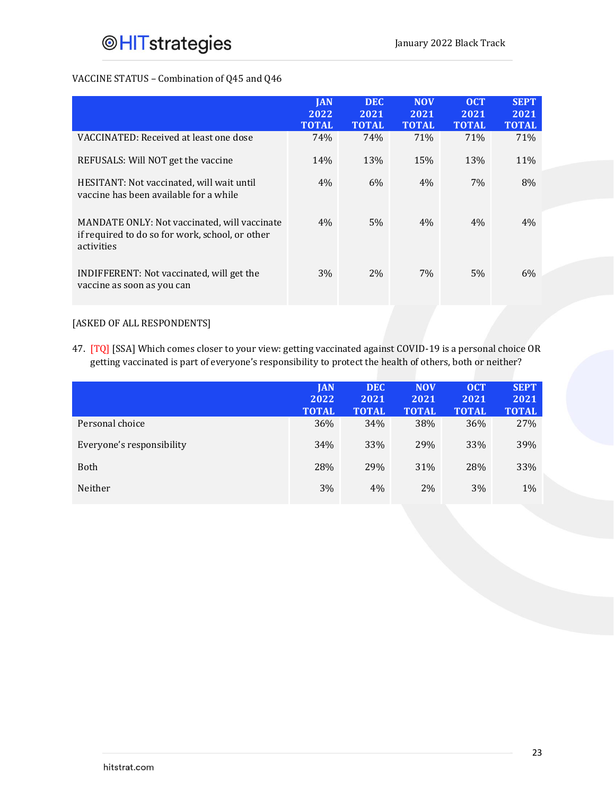### VACCINE STATUS – Combination of Q45 and Q46

|                                                                                                               | <b>JAN</b><br>2022<br><b>TOTAL</b> | <b>DEC</b><br>2021<br><b>TOTAL</b> | <b>NOV</b><br>2021<br><b>TOTAL</b> | <b>OCT</b><br>2021<br><b>TOTAL</b> | <b>SEPT</b><br>2021<br><b>TOTAL</b> |
|---------------------------------------------------------------------------------------------------------------|------------------------------------|------------------------------------|------------------------------------|------------------------------------|-------------------------------------|
| VACCINATED: Received at least one dose                                                                        | 74%                                | 74%                                | 71%                                | 71%                                | 71%                                 |
| REFUSALS: Will NOT get the vaccine                                                                            | 14%                                | 13%                                | 15%                                | 13%                                | 11%                                 |
| HESITANT: Not vaccinated, will wait until<br>vaccine has been available for a while                           | $4\%$                              | 6%                                 | 4%                                 | 7%                                 | 8%                                  |
| MANDATE ONLY: Not vaccinated, will vaccinate<br>if required to do so for work, school, or other<br>activities | 4%                                 | 5%                                 | 4%                                 | 4%                                 | 4%                                  |
| INDIFFERENT: Not vaccinated, will get the<br>vaccine as soon as you can                                       | $3\%$                              | 2%                                 | 7%                                 | 5%                                 | 6%                                  |

#### [ASKED OF ALL RESPONDENTS]

47. [TQ] [SSA] Which comes closer to your view: getting vaccinated against COVID-19 is a personal choice OR getting vaccinated is part of everyone's responsibility to protect the health of others, both or neither?

|                           | <b>JAN</b>   | <b>DEC</b>   | <b>NOV</b>   | <b>OCT</b>   | <b>SEPT</b>  |
|---------------------------|--------------|--------------|--------------|--------------|--------------|
|                           | 2022         | 2021         | 2021         | 2021         | 2021         |
|                           | <b>TOTAL</b> | <b>TOTAL</b> | <b>TOTAL</b> | <b>TOTAL</b> | <b>TOTAL</b> |
| Personal choice           | 36%          | 34%          | 38%          | 36%          | 27%          |
| Everyone's responsibility | 34%          | 33%          | 29%          | 33%          | 39%          |
| <b>Both</b>               | 28%          | 29%          | 31%          | 28%          | 33%          |
| Neither                   | 3%           | 4%           | 2%           | 3%           | 1%           |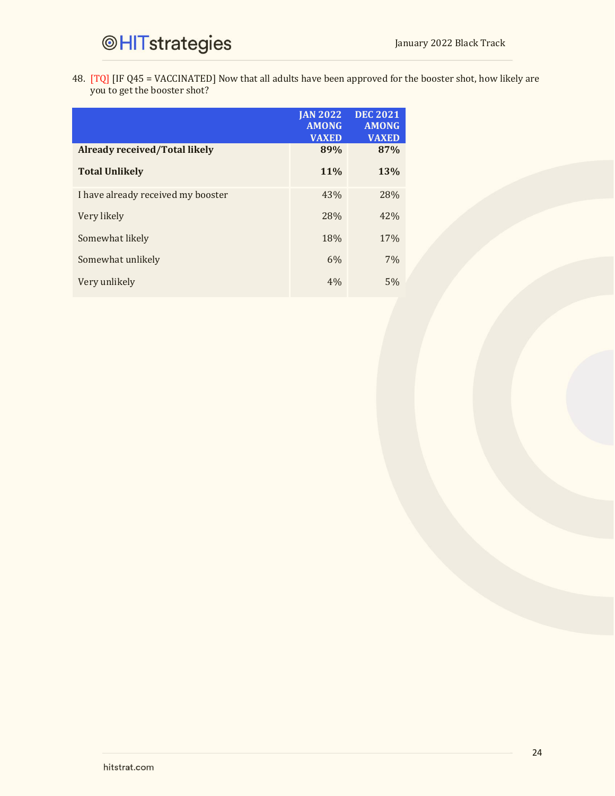48. [TQ] [IF Q45 = VACCINATED] Now that all adults have been approved for the booster shot, how likely are you to get the booster shot?

|                                      | <b>JAN 2022</b><br><b>AMONG</b><br><b>VAXED</b> | <b>DEC 2021</b><br><b>AMONG</b><br><b>VAXED</b> |
|--------------------------------------|-------------------------------------------------|-------------------------------------------------|
| <b>Already received/Total likely</b> | 89%                                             | 87%                                             |
| <b>Total Unlikely</b>                | 11%                                             | <b>13%</b>                                      |
| I have already received my booster   | 43%                                             | 28%                                             |
| Very likely                          | 28%                                             | 42%                                             |
| Somewhat likely                      | 18%                                             | 17%                                             |
| Somewhat unlikely                    | 6%                                              | 7%                                              |
| Very unlikely                        | 4%                                              | 5%                                              |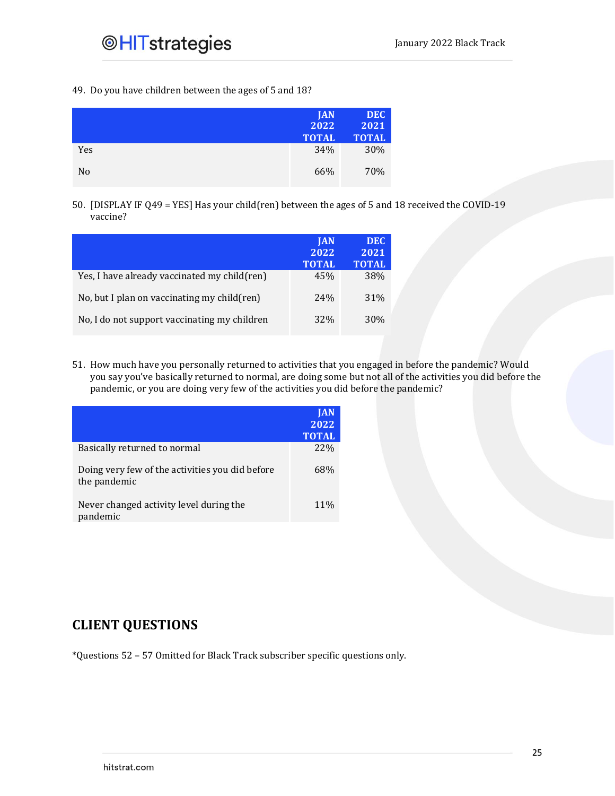#### 49. Do you have children between the ages of 5 and 18?

|     | <b>JAN</b><br>2022<br><b>TOTAL</b> | <b>DEC</b><br>2021<br><b>TOTAL</b> |
|-----|------------------------------------|------------------------------------|
| Yes | 34%                                | 30%                                |
| No  | 66%                                | 70%                                |

50. [DISPLAY IF Q49 = YES] Has your child(ren) between the ages of 5 and 18 received the COVID-19 vaccine?

|                                              | <b>JAN</b><br>2022<br><b>TOTAL</b> | <b>DEC</b><br>2021<br>TOTAL |
|----------------------------------------------|------------------------------------|-----------------------------|
| Yes, I have already vaccinated my child(ren) | 45%                                | 38%                         |
| No, but I plan on vaccinating my child(ren)  | 24 <sup>%</sup>                    | 31%                         |
| No, I do not support vaccinating my children | 32%                                | 30\%                        |

51. How much have you personally returned to activities that you engaged in before the pandemic? Would you say you've basically returned to normal, are doing some but not all of the activities you did before the pandemic, or you are doing very few of the activities you did before the pandemic?

|                                                                 | <b>JAN</b><br>2022<br><b>TOTAL</b> |
|-----------------------------------------------------------------|------------------------------------|
| Basically returned to normal                                    | 22%                                |
| Doing very few of the activities you did before<br>the pandemic | 68%                                |
| Never changed activity level during the<br>pandemic             | 11%                                |

### **CLIENT QUESTIONS**

\*Questions 52 – 57 Omitted for Black Track subscriber specific questions only.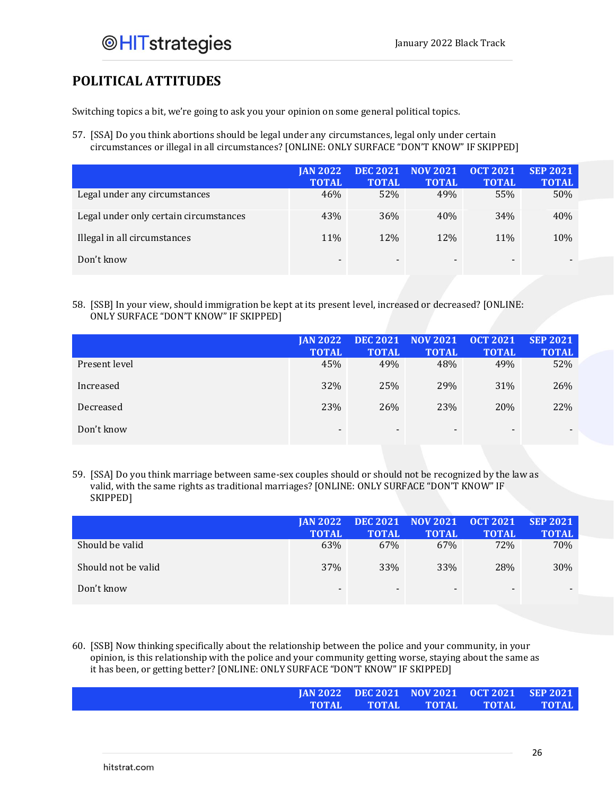### **POLITICAL ATTITUDES**

Switching topics a bit, we're going to ask you your opinion on some general political topics.

57. [SSA] Do you think abortions should be legal under any circumstances, legal only under certain circumstances or illegal in all circumstances? [ONLINE: ONLY SURFACE "DON'T KNOW" IF SKIPPED]

|                                        | <b>JAN 2022</b><br><b>TOTAL</b> | <b>DEC 2021</b><br><b>TOTAL</b> | <b>NOV 2021</b><br><b>TOTAL</b> | <b>OCT 2021</b><br><b>TOTAL</b> | <b>SEP 2021</b><br><b>TOTAL</b> |
|----------------------------------------|---------------------------------|---------------------------------|---------------------------------|---------------------------------|---------------------------------|
| Legal under any circumstances          | 46%                             | 52%                             | 49%                             | 55%                             | 50%                             |
| Legal under only certain circumstances | 43%                             | 36%                             | 40%                             | 34%                             | 40%                             |
| Illegal in all circumstances           | 11%                             | <b>12%</b>                      | <b>12%</b>                      | 11%                             | 10%                             |
| Don't know                             |                                 | $\overline{\phantom{0}}$        | $\overline{\phantom{a}}$        | $\overline{\phantom{0}}$        |                                 |

#### 58. [SSB] In your view, should immigration be kept at its present level, increased or decreased? [ONLINE: ONLY SURFACE "DON'T KNOW" IF SKIPPED]

|               | <b>JAN 2022</b><br><b>TOTAL</b> | <b>DEC 2021</b><br><b>TOTAL</b> | <b>NOV 2021</b><br><b>TOTAL</b> | <b>OCT 2021</b><br><b>TOTAL</b> | <b>SEP 2021</b><br><b>TOTAL</b> |
|---------------|---------------------------------|---------------------------------|---------------------------------|---------------------------------|---------------------------------|
| Present level | 45%                             | 49%                             | 48%                             | 49%                             | 52%                             |
| Increased     | 32%                             | 25%                             | 29%                             | 31%                             | 26%                             |
| Decreased     | 23%                             | 26%                             | 23%                             | 20%                             | 22%                             |
| Don't know    | $\overline{\phantom{a}}$        | $\overline{\phantom{0}}$        | $\overline{\phantom{a}}$        | $\blacksquare$                  | $\overline{\phantom{a}}$        |

#### 59. [SSA] Do you think marriage between same-sex couples should or should not be recognized by the law as valid, with the same rights as traditional marriages? [ONLINE: ONLY SURFACE "DON'T KNOW" IF SKIPPED]

|                     | <b>JAN 2022</b><br><b>TOTAL</b> | <b>TOTAL</b>             | DEC 2021 NOV 2021<br><b>TOTAL</b> | $-$ OCT 2021<br><b>TOTAL</b> | <b>SEP 2021</b><br><b>TOTAL</b> |
|---------------------|---------------------------------|--------------------------|-----------------------------------|------------------------------|---------------------------------|
| Should be valid     | 63%                             | 67%                      | 67%                               | 72%                          | 70%                             |
| Should not be valid | 37%                             | 33%                      | 33%                               | 28%                          | 30%                             |
| Don't know          | $\overline{\phantom{a}}$        | $\overline{\phantom{0}}$ | $\overline{\phantom{0}}$          | $\overline{\phantom{0}}$     |                                 |

60. [SSB] Now thinking specifically about the relationship between the police and your community, in your opinion, is this relationship with the police and your community getting worse, staying about the same as it has been, or getting better? [ONLINE: ONLY SURFACE "DON'T KNOW" IF SKIPPED]

|  | (IAN 2022 DEC 2021 NOV 2021 OCT 2021 SEP 2021 |  |
|--|-----------------------------------------------|--|
|  | TOTAL TOTAL TOTAL TOTAL TOTAL                 |  |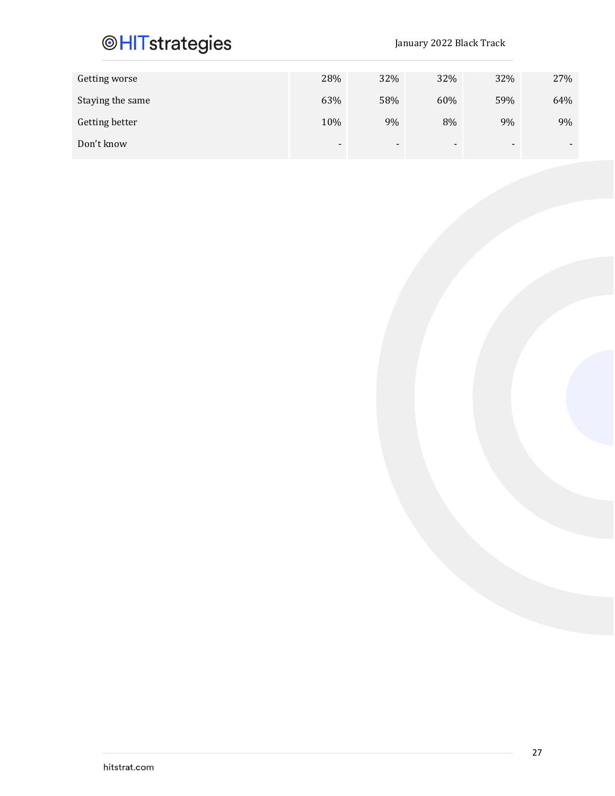January 2022 Black Track

| Getting worse    | 28%                      | 32%                      | 32%                      | 32%            | 27% |
|------------------|--------------------------|--------------------------|--------------------------|----------------|-----|
| Staying the same | 63%                      | 58%                      | 60%                      | 59%            | 64% |
| Getting better   | 10%                      | 9%                       | 8%                       | 9%             | 9%  |
| Don't know       | $\overline{\phantom{0}}$ | $\overline{\phantom{0}}$ | $\overline{\phantom{a}}$ | $\blacksquare$ |     |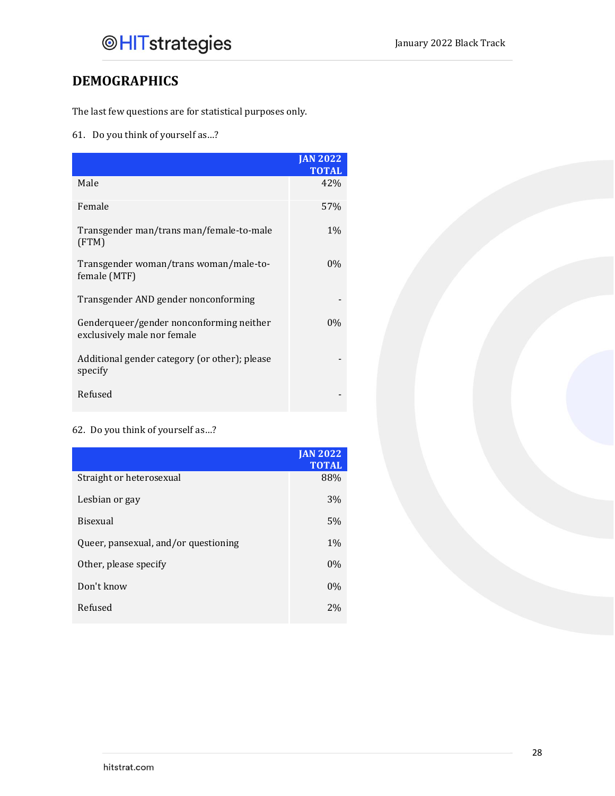## **DEMOGRAPHICS**

The last few questions are for statistical purposes only.

### 61. Do you think of yourself as…?

|                                                                         | <b>JAN 2022</b><br><b>TOTAL</b> |
|-------------------------------------------------------------------------|---------------------------------|
| Male                                                                    | 42%                             |
| Female                                                                  | 57%                             |
| Transgender man/trans man/female-to-male<br>(FTM)                       | $1\%$                           |
| Transgender woman/trans woman/male-to-<br>female (MTF)                  | $0\%$                           |
| Transgender AND gender nonconforming                                    |                                 |
| Genderqueer/gender nonconforming neither<br>exclusively male nor female | $0\%$                           |
| Additional gender category (or other); please<br>specify                |                                 |
| Refused                                                                 |                                 |

### 62. Do you think of yourself as…?

|                                      | <b>JAN 2022</b><br><b>TOTAL</b> |
|--------------------------------------|---------------------------------|
| Straight or heterosexual             | 88%                             |
| Lesbian or gay                       | 3%                              |
| Bisexual                             | 5%                              |
| Queer, pansexual, and/or questioning | $1\%$                           |
| Other, please specify                | 0%                              |
| Don't know                           | 0%                              |
| Refused                              | 2%                              |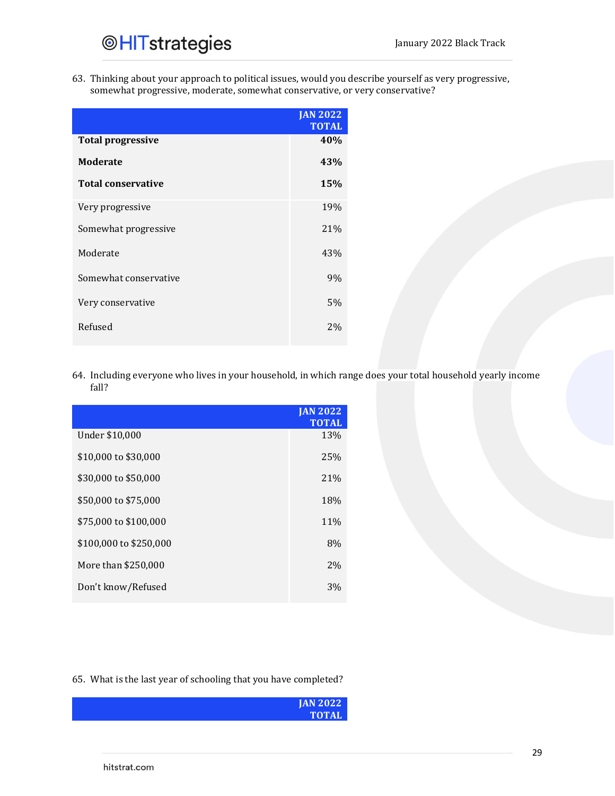63. Thinking about your approach to political issues, would you describe yourself as very progressive, somewhat progressive, moderate, somewhat conservative, or very conservative?

|                           | <b>JAN 2022</b> |
|---------------------------|-----------------|
|                           | <b>TOTAL</b>    |
| <b>Total progressive</b>  | 40%             |
| <b>Moderate</b>           | 43%             |
| <b>Total conservative</b> | 15%             |
|                           |                 |
| Very progressive          | 19%             |
|                           |                 |
| Somewhat progressive      | 21%             |
|                           |                 |
| Moderate                  | 43%             |
|                           |                 |
| Somewhat conservative     | 9%              |
|                           |                 |
| Very conservative         | 5%              |
|                           |                 |
| Refused                   | 2%              |
|                           |                 |

64. Including everyone who lives in your household, in which range does your total household yearly income fall?

|                        | <b>JAN 2022</b><br><b>TOTAL</b> |
|------------------------|---------------------------------|
| Under \$10,000         | 13%                             |
| \$10,000 to \$30,000   | 25%                             |
| \$30,000 to \$50,000   | 21%                             |
| \$50,000 to \$75,000   | 18%                             |
| \$75,000 to \$100,000  | 11%                             |
| \$100,000 to \$250,000 | 8%                              |
| More than \$250,000    | 2%                              |
| Don't know/Refused     | 3%                              |

65. What is the last year of schooling that you have completed?

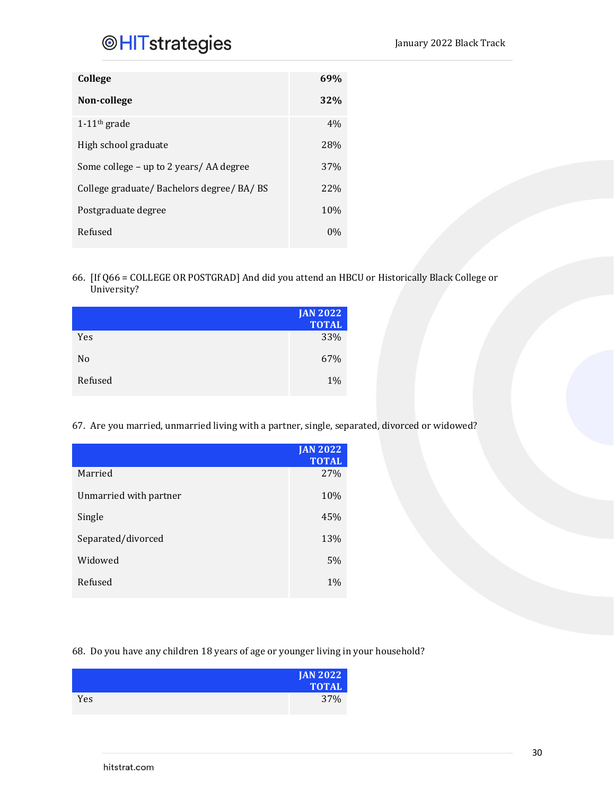| College                                    | 69%        |
|--------------------------------------------|------------|
| Non-college                                | <b>32%</b> |
| $1-11$ <sup>th</sup> grade                 | 4%         |
| High school graduate                       | 28%        |
| Some college – up to 2 years/ AA degree    | 37%        |
| College graduate/ Bachelors degree/ BA/ BS | <b>22%</b> |
| Postgraduate degree                        | 10%        |
| Refused                                    | $0\%$      |

66. [If Q66 = COLLEGE OR POSTGRAD] And did you attend an HBCU or Historically Black College or University?

|                | <b>JAN 2022</b> |
|----------------|-----------------|
|                | <b>TOTAL</b>    |
| Yes            | 33%             |
| N <sub>0</sub> | 67%             |
| Refused        | $1\%$           |

67. Are you married, unmarried living with a partner, single, separated, divorced or widowed?

|                        | <b>JAN 2022</b><br><b>TOTAL</b> |
|------------------------|---------------------------------|
| Married                | 27%                             |
| Unmarried with partner | 10%                             |
| Single                 | 45%                             |
| Separated/divorced     | 13%                             |
| Widowed                | 5%                              |
| Refused                | 1%                              |

### 68. Do you have any children 18 years of age or younger living in your household?

|     | <b>JAN 2022</b> |
|-----|-----------------|
|     | <b>TOTAL</b>    |
| Yes | 37%             |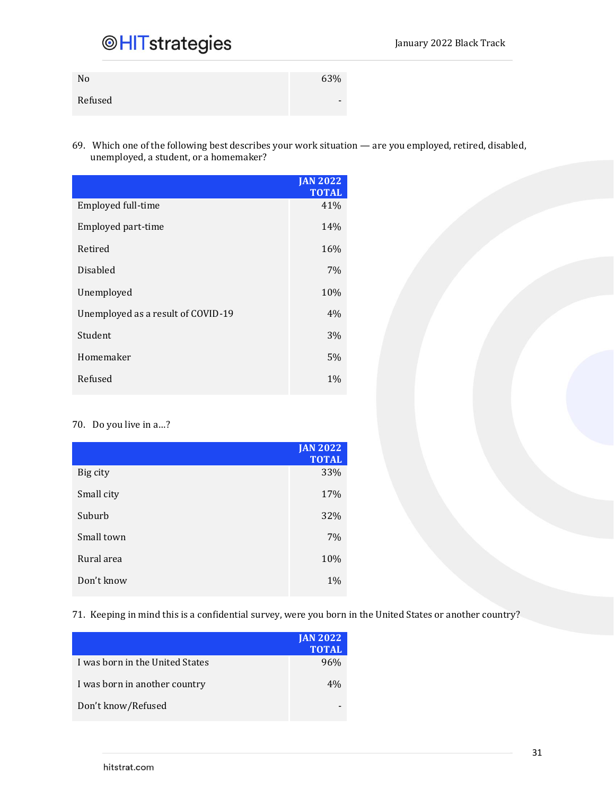| No      | 63% |
|---------|-----|
| Refused | -   |

69. Which one of the following best describes your work situation — are you employed, retired, disabled, unemployed, a student, or a homemaker?

|                                    | <b>JAN 2022</b><br><b>TOTAL</b> |
|------------------------------------|---------------------------------|
| Employed full-time                 | 41%                             |
| Employed part-time                 | 14%                             |
| Retired                            | 16%                             |
| Disabled                           | 7%                              |
| Unemployed                         | 10%                             |
| Unemployed as a result of COVID-19 | 4%                              |
| Student                            | 3%                              |
| Homemaker                          | 5%                              |
| Refused                            | $1\%$                           |

### 70. Do you live in a…?

|            | <b>JAN 2022</b><br><b>TOTAL</b> |
|------------|---------------------------------|
| Big city   | 33%                             |
| Small city | 17%                             |
| Suburb     | 32%                             |
| Small town | 7%                              |
| Rural area | 10%                             |
| Don't know | 1%                              |

71. Keeping in mind this is a confidential survey, were you born in the United States or another country?

|                                 | <b>JAN 2022</b><br><b>TOTAL</b> |
|---------------------------------|---------------------------------|
| I was born in the United States | 96%                             |
| I was born in another country   | 4%                              |
| Don't know/Refused              |                                 |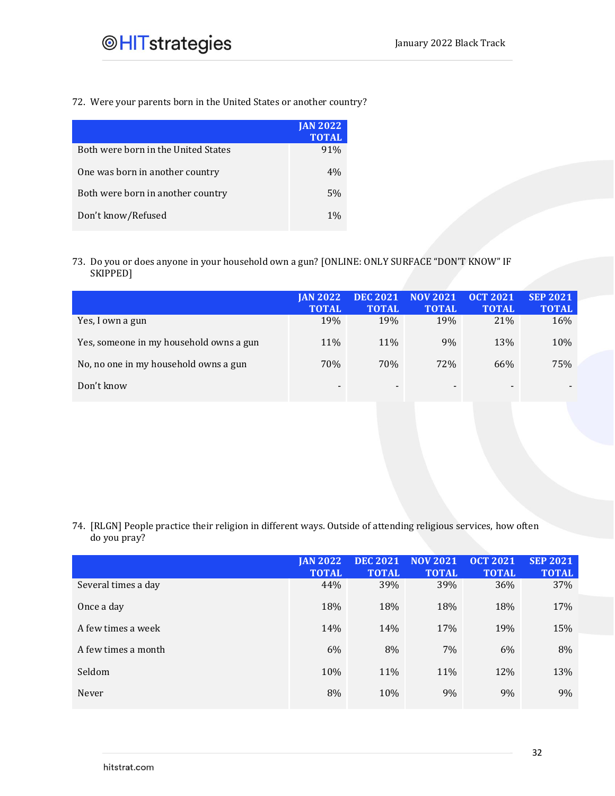72. Were your parents born in the United States or another country?

|                                     | <b>JAN 2022</b><br><b>TOTAL</b> |
|-------------------------------------|---------------------------------|
| Both were born in the United States | 91%                             |
| One was born in another country     | 4%                              |
| Both were born in another country   | 5%                              |
| Don't know/Refused                  | $1\%$                           |

73. Do you or does anyone in your household own a gun? [ONLINE: ONLY SURFACE "DON'T KNOW" IF SKIPPED]

|                                         | <b>IAN 2022</b><br><b>TOTAL</b> | <b>DEC 2021</b><br><b>TOTAL</b> | <b>NOV 2021</b><br><b>TOTAL</b> | <b>OCT 2021</b><br><b>TOTAL</b> | <b>SEP 2021</b><br><b>TOTAL</b> |
|-----------------------------------------|---------------------------------|---------------------------------|---------------------------------|---------------------------------|---------------------------------|
| Yes, I own a gun                        | 19%                             | <b>19%</b>                      | 19%                             | 21%                             | 16%                             |
| Yes, someone in my household owns a gun | 11%                             | 11%                             | 9%                              | 13%                             | 10%                             |
| No, no one in my household owns a gun   | 70%                             | 70%                             | 72%                             | 66%                             | 75%                             |
| Don't know                              | $\qquad \qquad \blacksquare$    | $\overline{\phantom{a}}$        | $\overline{\phantom{a}}$        | -                               |                                 |

74. [RLGN] People practice their religion in different ways. Outside of attending religious services, how often do you pray?

|                     | <b>JAN 2022</b><br><b>TOTAL</b> | <b>DEC 2021</b><br><b>TOTAL</b> | <b>NOV 2021</b><br><b>TOTAL</b> | <b>OCT 2021</b><br><b>TOTAL</b> | <b>SEP 2021</b><br><b>TOTAL</b> |
|---------------------|---------------------------------|---------------------------------|---------------------------------|---------------------------------|---------------------------------|
| Several times a day | 44%                             | 39%                             | 39%                             | 36%                             | 37%                             |
| Once a day          | 18%                             | 18%                             | 18%                             | 18%                             | 17%                             |
| A few times a week  | 14%                             | 14%                             | 17%                             | 19%                             | 15%                             |
| A few times a month | 6%                              | 8%                              | 7%                              | 6%                              | 8%                              |
| Seldom              | 10%                             | 11%                             | 11%                             | 12%                             | 13%                             |
| Never               | 8%                              | 10%                             | 9%                              | 9%                              | 9%                              |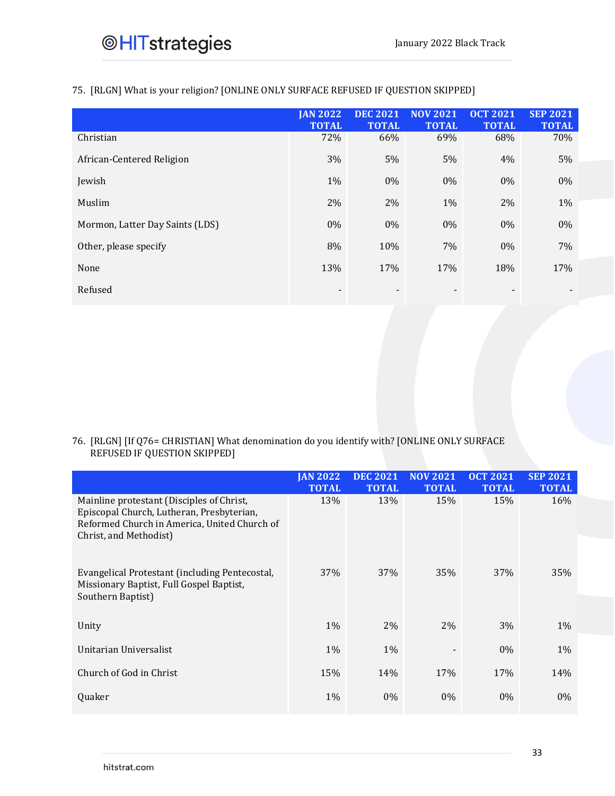75. [RLGN] What is your religion? [ONLINE ONLY SURFACE REFUSED IF QUESTION SKIPPED]

|                                 | <b>JAN 2022</b><br><b>TOTAL</b> | <b>DEC 2021</b><br><b>TOTAL</b> | <b>NOV 2021</b><br><b>TOTAL</b> | <b>OCT 2021</b><br><b>TOTAL</b> | <b>SEP 2021</b><br><b>TOTAL</b> |
|---------------------------------|---------------------------------|---------------------------------|---------------------------------|---------------------------------|---------------------------------|
| Christian                       | 72%                             | 66%                             | 69%                             | 68%                             | 70%                             |
| African-Centered Religion       | 3%                              | 5%                              | 5%                              | 4%                              | 5%                              |
| Jewish                          | 1%                              | $0\%$                           | 0%                              | $0\%$                           | $0\%$                           |
| Muslim                          | 2%                              | 2%                              | 1%                              | $2\%$                           | $1\%$                           |
| Mormon, Latter Day Saints (LDS) | $0\%$                           | 0%                              | $0\%$                           | $0\%$                           | $0\%$                           |
| Other, please specify           | 8%                              | 10%                             | 7%                              | $0\%$                           | 7%                              |
| None                            | 13%                             | 17%                             | 17%                             | 18%                             | 17%                             |
| Refused                         |                                 |                                 |                                 |                                 |                                 |

### 76. [RLGN] [If Q76= CHRISTIAN] What denomination do you identify with? [ONLINE ONLY SURFACE REFUSED IF QUESTION SKIPPED]

|                                                                                                                                                                  | <b>JAN 2022</b><br><b>TOTAL</b> | <b>DEC 2021</b><br><b>TOTAL</b> | <b>NOV 2021</b><br><b>TOTAL</b> | <b>OCT 2021</b><br><b>TOTAL</b> | <b>SEP 2021</b><br><b>TOTAL</b> |  |
|------------------------------------------------------------------------------------------------------------------------------------------------------------------|---------------------------------|---------------------------------|---------------------------------|---------------------------------|---------------------------------|--|
| Mainline protestant (Disciples of Christ,<br>Episcopal Church, Lutheran, Presbyterian,<br>Reformed Church in America, United Church of<br>Christ, and Methodist) | 13%                             | 13%                             | 15%                             | 15%                             | 16%                             |  |
| Evangelical Protestant (including Pentecostal,<br>Missionary Baptist, Full Gospel Baptist,                                                                       | 37\%                            | <b>37%</b>                      | 35%                             | 37%                             | 35%                             |  |
| Southern Baptist)<br>Unity                                                                                                                                       | $1\%$                           | $2\%$                           | 2%                              | $3\%$                           | $1\%$                           |  |
| Unitarian Universalist                                                                                                                                           | 1%                              | $1\%$                           |                                 | $0\%$                           | $1\%$                           |  |
| Church of God in Christ                                                                                                                                          | 15%                             | 14%                             | 17%                             | 17%                             | 14%                             |  |
| Quaker                                                                                                                                                           | 1%                              | $0\%$                           | $0\%$                           | $0\%$                           | $0\%$                           |  |